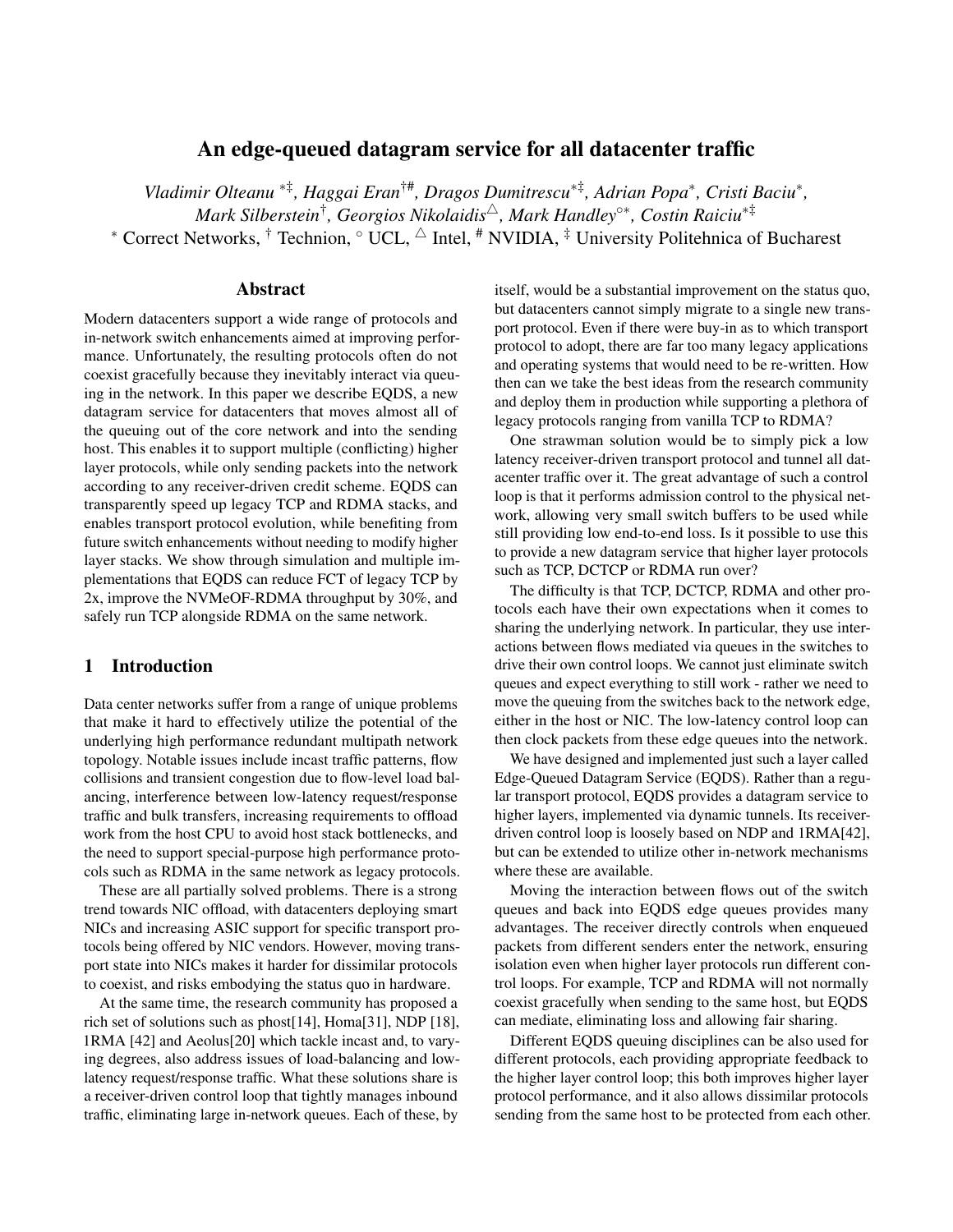# An edge-queued datagram service for all datacenter traffic

*Vladimir Olteanu* <sup>∗</sup>‡ *, Haggai Eran*†#*, Dragos Dumitrescu*∗‡ *, Adrian Popa*<sup>∗</sup> *, Cristi Baciu*<sup>∗</sup> *, Mark Silberstein*† *, Georgios Nikolaidis*4*, Mark Handley*◦∗*, Costin Raiciu*∗‡ \* Correct Networks, † Technion,  $\circ$  UCL,  $\triangle$  Intel,  $\#$  NVIDIA,  $\frac{1}{\ast}$  University Politehnica of Bucharest

## Abstract

Modern datacenters support a wide range of protocols and in-network switch enhancements aimed at improving performance. Unfortunately, the resulting protocols often do not coexist gracefully because they inevitably interact via queuing in the network. In this paper we describe EQDS, a new datagram service for datacenters that moves almost all of the queuing out of the core network and into the sending host. This enables it to support multiple (conflicting) higher layer protocols, while only sending packets into the network according to any receiver-driven credit scheme. EQDS can transparently speed up legacy TCP and RDMA stacks, and enables transport protocol evolution, while benefiting from future switch enhancements without needing to modify higher layer stacks. We show through simulation and multiple implementations that EQDS can reduce FCT of legacy TCP by 2x, improve the NVMeOF-RDMA throughput by 30%, and safely run TCP alongside RDMA on the same network.

# 1 Introduction

Data center networks suffer from a range of unique problems that make it hard to effectively utilize the potential of the underlying high performance redundant multipath network topology. Notable issues include incast traffic patterns, flow collisions and transient congestion due to flow-level load balancing, interference between low-latency request/response traffic and bulk transfers, increasing requirements to offload work from the host CPU to avoid host stack bottlenecks, and the need to support special-purpose high performance protocols such as RDMA in the same network as legacy protocols.

These are all partially solved problems. There is a strong trend towards NIC offload, with datacenters deploying smart NICs and increasing ASIC support for specific transport protocols being offered by NIC vendors. However, moving transport state into NICs makes it harder for dissimilar protocols to coexist, and risks embodying the status quo in hardware.

At the same time, the research community has proposed a rich set of solutions such as phost[\[14\]](#page-13-0), Homa[\[31\]](#page-14-0), NDP [\[18\]](#page-13-1), 1RMA [\[42\]](#page-15-0) and Aeolus[\[20\]](#page-13-2) which tackle incast and, to varying degrees, also address issues of load-balancing and lowlatency request/response traffic. What these solutions share is a receiver-driven control loop that tightly manages inbound traffic, eliminating large in-network queues. Each of these, by

itself, would be a substantial improvement on the status quo, but datacenters cannot simply migrate to a single new transport protocol. Even if there were buy-in as to which transport protocol to adopt, there are far too many legacy applications and operating systems that would need to be re-written. How then can we take the best ideas from the research community and deploy them in production while supporting a plethora of legacy protocols ranging from vanilla TCP to RDMA?

One strawman solution would be to simply pick a low latency receiver-driven transport protocol and tunnel all datacenter traffic over it. The great advantage of such a control loop is that it performs admission control to the physical network, allowing very small switch buffers to be used while still providing low end-to-end loss. Is it possible to use this to provide a new datagram service that higher layer protocols such as TCP, DCTCP or RDMA run over?

The difficulty is that TCP, DCTCP, RDMA and other protocols each have their own expectations when it comes to sharing the underlying network. In particular, they use interactions between flows mediated via queues in the switches to drive their own control loops. We cannot just eliminate switch queues and expect everything to still work - rather we need to move the queuing from the switches back to the network edge, either in the host or NIC. The low-latency control loop can then clock packets from these edge queues into the network.

We have designed and implemented just such a layer called Edge-Queued Datagram Service (EQDS). Rather than a regular transport protocol, EQDS provides a datagram service to higher layers, implemented via dynamic tunnels. Its receiverdriven control loop is loosely based on NDP and 1RMA[\[42\]](#page-15-0), but can be extended to utilize other in-network mechanisms where these are available.

Moving the interaction between flows out of the switch queues and back into EQDS edge queues provides many advantages. The receiver directly controls when enqueued packets from different senders enter the network, ensuring isolation even when higher layer protocols run different control loops. For example, TCP and RDMA will not normally coexist gracefully when sending to the same host, but EQDS can mediate, eliminating loss and allowing fair sharing.

Different EQDS queuing disciplines can be also used for different protocols, each providing appropriate feedback to the higher layer control loop; this both improves higher layer protocol performance, and it also allows dissimilar protocols sending from the same host to be protected from each other.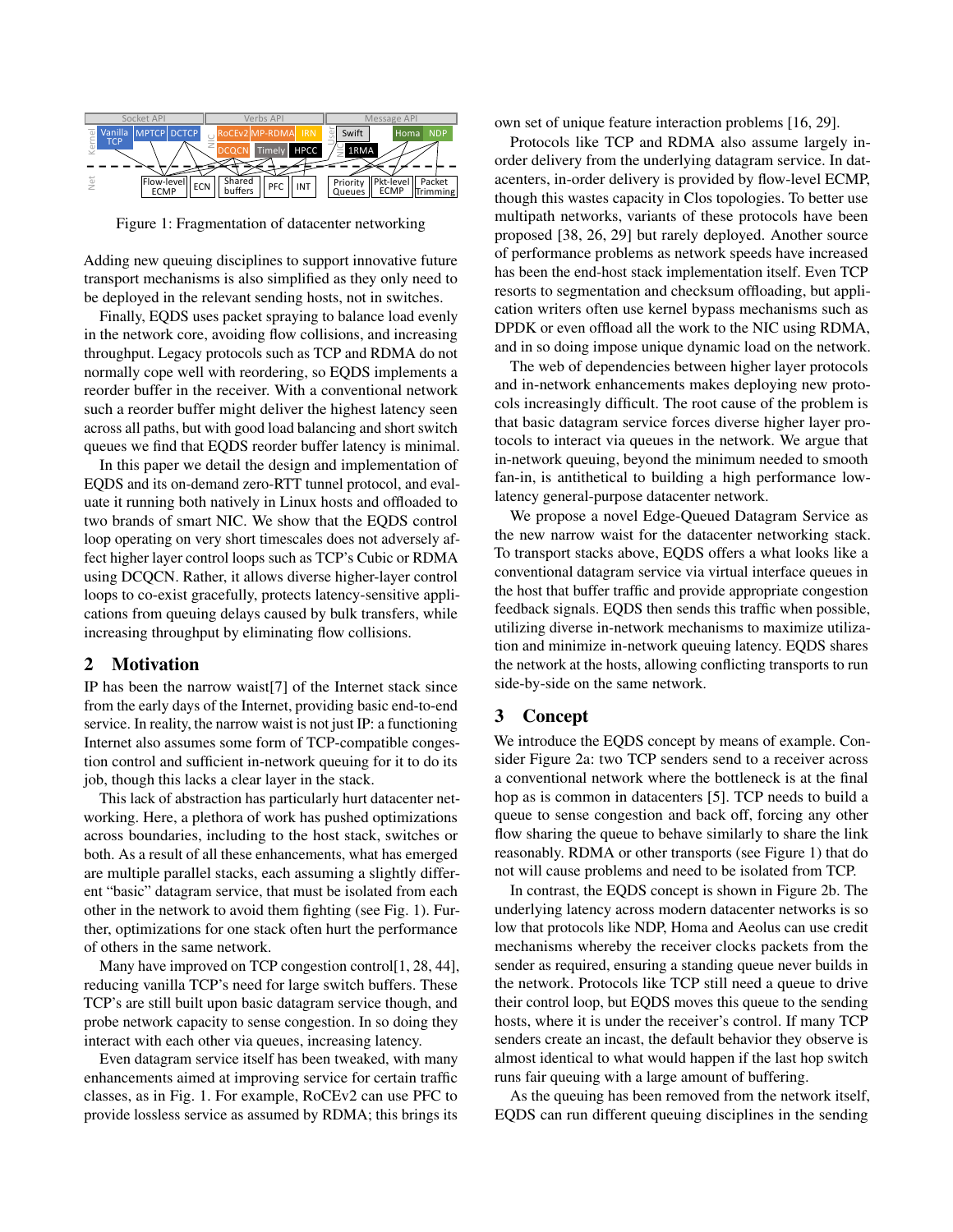<span id="page-1-0"></span>

Figure 1: Fragmentation of datacenter networking

Adding new queuing disciplines to support innovative future transport mechanisms is also simplified as they only need to be deployed in the relevant sending hosts, not in switches.

Finally, EQDS uses packet spraying to balance load evenly in the network core, avoiding flow collisions, and increasing throughput. Legacy protocols such as TCP and RDMA do not normally cope well with reordering, so EQDS implements a reorder buffer in the receiver. With a conventional network such a reorder buffer might deliver the highest latency seen across all paths, but with good load balancing and short switch queues we find that EQDS reorder buffer latency is minimal.

In this paper we detail the design and implementation of EQDS and its on-demand zero-RTT tunnel protocol, and evaluate it running both natively in Linux hosts and offloaded to two brands of smart NIC. We show that the EQDS control loop operating on very short timescales does not adversely affect higher layer control loops such as TCP's Cubic or RDMA using DCQCN. Rather, it allows diverse higher-layer control loops to co-exist gracefully, protects latency-sensitive applications from queuing delays caused by bulk transfers, while increasing throughput by eliminating flow collisions.

#### 2 Motivation

IP has been the narrow waist[\[7\]](#page-13-3) of the Internet stack since from the early days of the Internet, providing basic end-to-end service. In reality, the narrow waist is not just IP: a functioning Internet also assumes some form of TCP-compatible congestion control and sufficient in-network queuing for it to do its job, though this lacks a clear layer in the stack.

This lack of abstraction has particularly hurt datacenter networking. Here, a plethora of work has pushed optimizations across boundaries, including to the host stack, switches or both. As a result of all these enhancements, what has emerged are multiple parallel stacks, each assuming a slightly different "basic" datagram service, that must be isolated from each other in the network to avoid them fighting (see Fig. [1\)](#page-1-0). Further, optimizations for one stack often hurt the performance of others in the same network.

Many have improved on TCP congestion control[\[1,](#page-13-4) [28,](#page-14-1) [44\]](#page-15-1), reducing vanilla TCP's need for large switch buffers. These TCP's are still built upon basic datagram service though, and probe network capacity to sense congestion. In so doing they interact with each other via queues, increasing latency.

Even datagram service itself has been tweaked, with many enhancements aimed at improving service for certain traffic classes, as in Fig. [1.](#page-1-0) For example, RoCEv2 can use PFC to provide lossless service as assumed by RDMA; this brings its own set of unique feature interaction problems [\[16,](#page-13-5) [29\]](#page-14-2).

Protocols like TCP and RDMA also assume largely inorder delivery from the underlying datagram service. In datacenters, in-order delivery is provided by flow-level ECMP, though this wastes capacity in Clos topologies. To better use multipath networks, variants of these protocols have been proposed [\[38,](#page-14-3) [26,](#page-14-4) [29\]](#page-14-2) but rarely deployed. Another source of performance problems as network speeds have increased has been the end-host stack implementation itself. Even TCP resorts to segmentation and checksum offloading, but application writers often use kernel bypass mechanisms such as DPDK or even offload all the work to the NIC using RDMA, and in so doing impose unique dynamic load on the network.

The web of dependencies between higher layer protocols and in-network enhancements makes deploying new protocols increasingly difficult. The root cause of the problem is that basic datagram service forces diverse higher layer protocols to interact via queues in the network. We argue that in-network queuing, beyond the minimum needed to smooth fan-in, is antithetical to building a high performance lowlatency general-purpose datacenter network.

We propose a novel Edge-Queued Datagram Service as the new narrow waist for the datacenter networking stack. To transport stacks above, EQDS offers a what looks like a conventional datagram service via virtual interface queues in the host that buffer traffic and provide appropriate congestion feedback signals. EQDS then sends this traffic when possible, utilizing diverse in-network mechanisms to maximize utilization and minimize in-network queuing latency. EQDS shares the network at the hosts, allowing conflicting transports to run side-by-side on the same network.

## 3 Concept

We introduce the EQDS concept by means of example. Consider Figure [2a:](#page-2-0) two TCP senders send to a receiver across a conventional network where the bottleneck is at the final hop as is common in datacenters [\[5\]](#page-13-6). TCP needs to build a queue to sense congestion and back off, forcing any other flow sharing the queue to behave similarly to share the link reasonably. RDMA or other transports (see Figure [1\)](#page-1-0) that do not will cause problems and need to be isolated from TCP.

In contrast, the EQDS concept is shown in Figure [2b.](#page-2-0) The underlying latency across modern datacenter networks is so low that protocols like NDP, Homa and Aeolus can use credit mechanisms whereby the receiver clocks packets from the sender as required, ensuring a standing queue never builds in the network. Protocols like TCP still need a queue to drive their control loop, but EQDS moves this queue to the sending hosts, where it is under the receiver's control. If many TCP senders create an incast, the default behavior they observe is almost identical to what would happen if the last hop switch runs fair queuing with a large amount of buffering.

As the queuing has been removed from the network itself, EQDS can run different queuing disciplines in the sending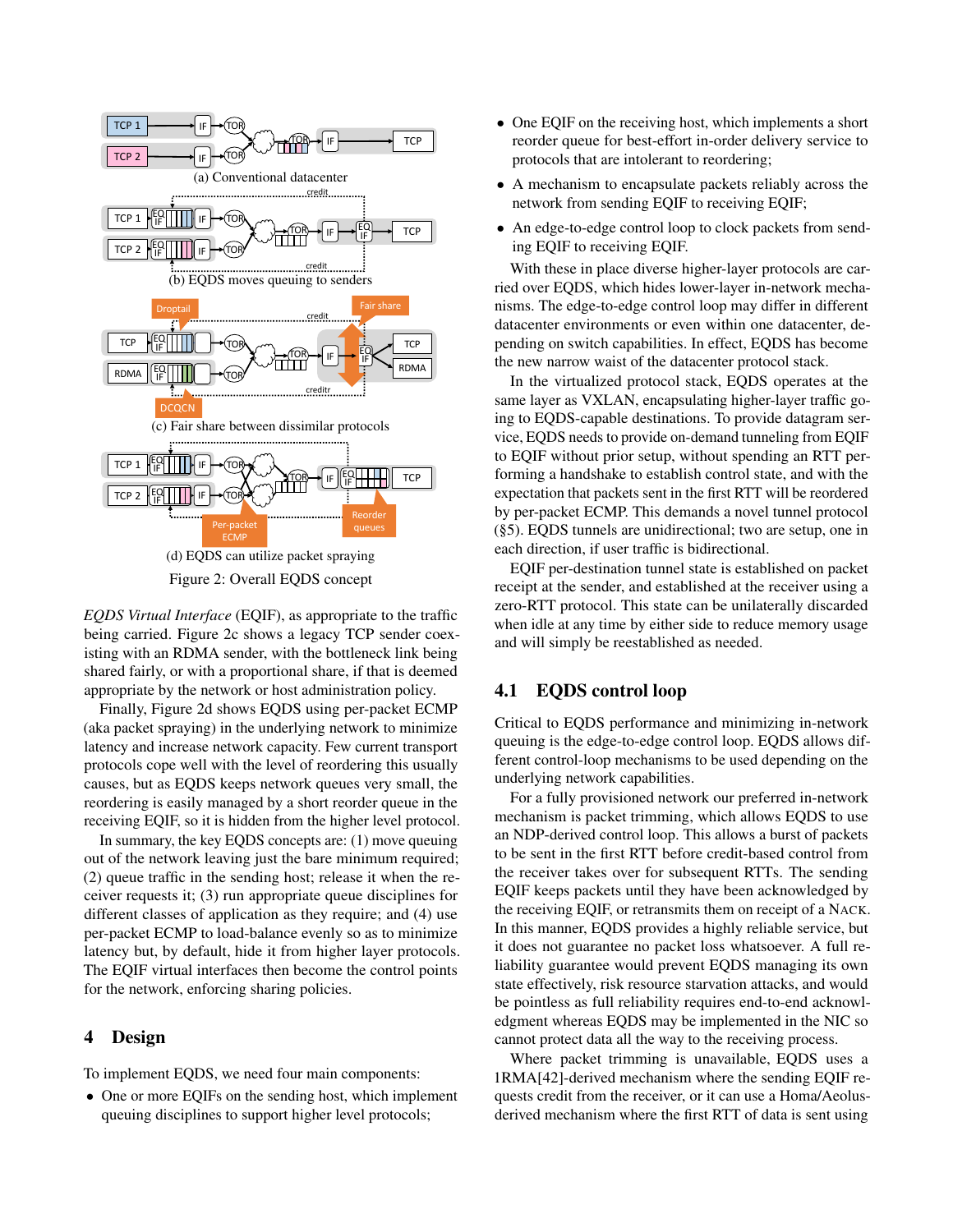<span id="page-2-0"></span>

Figure 2: Overall EQDS concept

*EQDS Virtual Interface* (EQIF), as appropriate to the traffic being carried. Figure [2c](#page-2-0) shows a legacy TCP sender coexisting with an RDMA sender, with the bottleneck link being shared fairly, or with a proportional share, if that is deemed appropriate by the network or host administration policy.

Finally, Figure [2d](#page-2-0) shows EQDS using per-packet ECMP (aka packet spraying) in the underlying network to minimize latency and increase network capacity. Few current transport protocols cope well with the level of reordering this usually causes, but as EQDS keeps network queues very small, the reordering is easily managed by a short reorder queue in the receiving EQIF, so it is hidden from the higher level protocol.

In summary, the key EQDS concepts are: (1) move queuing out of the network leaving just the bare minimum required; (2) queue traffic in the sending host; release it when the receiver requests it; (3) run appropriate queue disciplines for different classes of application as they require; and (4) use per-packet ECMP to load-balance evenly so as to minimize latency but, by default, hide it from higher layer protocols. The EQIF virtual interfaces then become the control points for the network, enforcing sharing policies.

#### 4 Design

To implement EQDS, we need four main components:

• One or more EQIFs on the sending host, which implement queuing disciplines to support higher level protocols;

- One EQIF on the receiving host, which implements a short reorder queue for best-effort in-order delivery service to protocols that are intolerant to reordering;
- A mechanism to encapsulate packets reliably across the network from sending EQIF to receiving EQIF;
- An edge-to-edge control loop to clock packets from sending EQIF to receiving EQIF.

With these in place diverse higher-layer protocols are carried over EQDS, which hides lower-layer in-network mechanisms. The edge-to-edge control loop may differ in different datacenter environments or even within one datacenter, depending on switch capabilities. In effect, EQDS has become the new narrow waist of the datacenter protocol stack.

In the virtualized protocol stack, EQDS operates at the same layer as VXLAN, encapsulating higher-layer traffic going to EQDS-capable destinations. To provide datagram service, EQDS needs to provide on-demand tunneling from EQIF to EQIF without prior setup, without spending an RTT performing a handshake to establish control state, and with the expectation that packets sent in the first RTT will be reordered by per-packet ECMP. This demands a novel tunnel protocol ([§5\)](#page-3-0). EQDS tunnels are unidirectional; two are setup, one in each direction, if user traffic is bidirectional.

EQIF per-destination tunnel state is established on packet receipt at the sender, and established at the receiver using a zero-RTT protocol. This state can be unilaterally discarded when idle at any time by either side to reduce memory usage and will simply be reestablished as needed.

#### 4.1 EQDS control loop

Critical to EQDS performance and minimizing in-network queuing is the edge-to-edge control loop. EQDS allows different control-loop mechanisms to be used depending on the underlying network capabilities.

For a fully provisioned network our preferred in-network mechanism is packet trimming, which allows EQDS to use an NDP-derived control loop. This allows a burst of packets to be sent in the first RTT before credit-based control from the receiver takes over for subsequent RTTs. The sending EQIF keeps packets until they have been acknowledged by the receiving EQIF, or retransmits them on receipt of a NACK. In this manner, EQDS provides a highly reliable service, but it does not guarantee no packet loss whatsoever. A full reliability guarantee would prevent EQDS managing its own state effectively, risk resource starvation attacks, and would be pointless as full reliability requires end-to-end acknowledgment whereas EQDS may be implemented in the NIC so cannot protect data all the way to the receiving process.

Where packet trimming is unavailable, EQDS uses a 1RMA[\[42\]](#page-15-0)-derived mechanism where the sending EQIF requests credit from the receiver, or it can use a Homa/Aeolusderived mechanism where the first RTT of data is sent using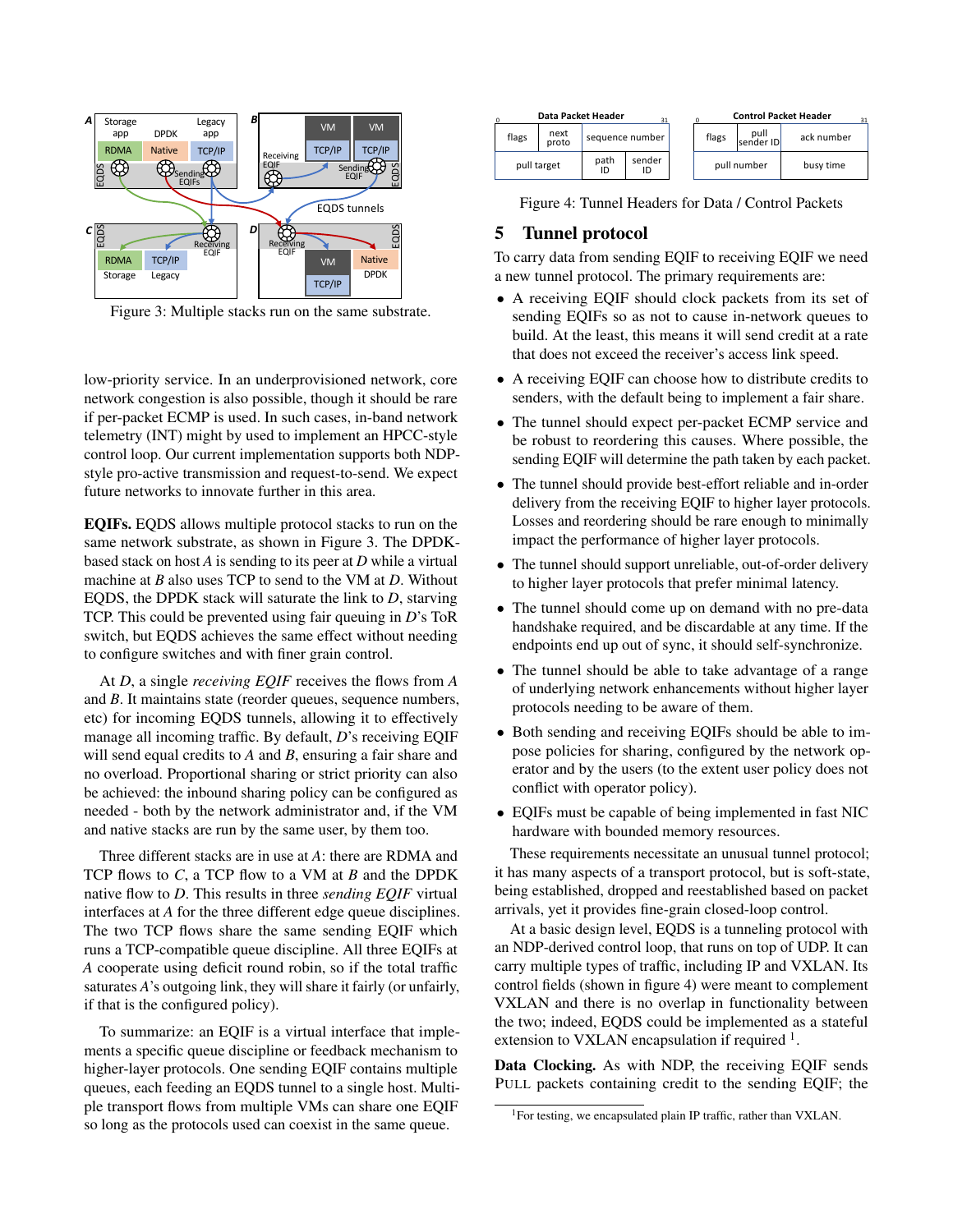<span id="page-3-1"></span>

Figure 3: Multiple stacks run on the same substrate.

low-priority service. In an underprovisioned network, core network congestion is also possible, though it should be rare if per-packet ECMP is used. In such cases, in-band network telemetry (INT) might by used to implement an HPCC-style control loop. Our current implementation supports both NDPstyle pro-active transmission and request-to-send. We expect future networks to innovate further in this area.

EQIFs. EQDS allows multiple protocol stacks to run on the same network substrate, as shown in Figure [3.](#page-3-1) The DPDKbased stack on host *A* is sending to its peer at *D* while a virtual machine at *B* also uses TCP to send to the VM at *D*. Without EQDS, the DPDK stack will saturate the link to *D*, starving TCP. This could be prevented using fair queuing in *D*'s ToR switch, but EQDS achieves the same effect without needing to configure switches and with finer grain control.

At *D*, a single *receiving EQIF* receives the flows from *A* and *B*. It maintains state (reorder queues, sequence numbers, etc) for incoming EQDS tunnels, allowing it to effectively manage all incoming traffic. By default, *D*'s receiving EQIF will send equal credits to *A* and *B*, ensuring a fair share and no overload. Proportional sharing or strict priority can also be achieved: the inbound sharing policy can be configured as needed - both by the network administrator and, if the VM and native stacks are run by the same user, by them too.

Three different stacks are in use at *A*: there are RDMA and TCP flows to *C*, a TCP flow to a VM at *B* and the DPDK native flow to *D*. This results in three *sending EQIF* virtual interfaces at *A* for the three different edge queue disciplines. The two TCP flows share the same sending EQIF which runs a TCP-compatible queue discipline. All three EQIFs at *A* cooperate using deficit round robin, so if the total traffic saturates *A*'s outgoing link, they will share it fairly (or unfairly, if that is the configured policy).

To summarize: an EQIF is a virtual interface that implements a specific queue discipline or feedback mechanism to higher-layer protocols. One sending EQIF contains multiple queues, each feeding an EQDS tunnel to a single host. Multiple transport flows from multiple VMs can share one EQIF so long as the protocols used can coexist in the same queue.

<span id="page-3-2"></span>

| Data Packet Header<br>0<br>31 |               |                 |              |  | <b>Control Packet Header</b><br>31 |                   |            |  |
|-------------------------------|---------------|-----------------|--------------|--|------------------------------------|-------------------|------------|--|
| flags                         | next<br>proto | sequence number |              |  | flags                              | pull<br>sender ID | ack number |  |
| pull target                   |               | path<br>ID      | sender<br>ID |  | pull number                        |                   | busy time  |  |

Figure 4: Tunnel Headers for Data / Control Packets

#### <span id="page-3-0"></span>5 Tunnel protocol

To carry data from sending EQIF to receiving EQIF we need a new tunnel protocol. The primary requirements are:

- A receiving EQIF should clock packets from its set of sending EQIFs so as not to cause in-network queues to build. At the least, this means it will send credit at a rate that does not exceed the receiver's access link speed.
- A receiving EQIF can choose how to distribute credits to senders, with the default being to implement a fair share.
- The tunnel should expect per-packet ECMP service and be robust to reordering this causes. Where possible, the sending EQIF will determine the path taken by each packet.
- The tunnel should provide best-effort reliable and in-order delivery from the receiving EQIF to higher layer protocols. Losses and reordering should be rare enough to minimally impact the performance of higher layer protocols.
- The tunnel should support unreliable, out-of-order delivery to higher layer protocols that prefer minimal latency.
- The tunnel should come up on demand with no pre-data handshake required, and be discardable at any time. If the endpoints end up out of sync, it should self-synchronize.
- The tunnel should be able to take advantage of a range of underlying network enhancements without higher layer protocols needing to be aware of them.
- Both sending and receiving EQIFs should be able to impose policies for sharing, configured by the network operator and by the users (to the extent user policy does not conflict with operator policy).
- EQIFs must be capable of being implemented in fast NIC hardware with bounded memory resources.

These requirements necessitate an unusual tunnel protocol; it has many aspects of a transport protocol, but is soft-state, being established, dropped and reestablished based on packet arrivals, yet it provides fine-grain closed-loop control.

At a basic design level, EQDS is a tunneling protocol with an NDP-derived control loop, that runs on top of UDP. It can carry multiple types of traffic, including IP and VXLAN. Its control fields (shown in figure [4\)](#page-3-2) were meant to complement VXLAN and there is no overlap in functionality between the two; indeed, EQDS could be implemented as a stateful extension to VXLAN encapsulation if required  $1$ .

Data Clocking. As with NDP, the receiving EQIF sends PULL packets containing credit to the sending EQIF; the

<span id="page-3-3"></span><sup>1</sup>For testing, we encapsulated plain IP traffic, rather than VXLAN.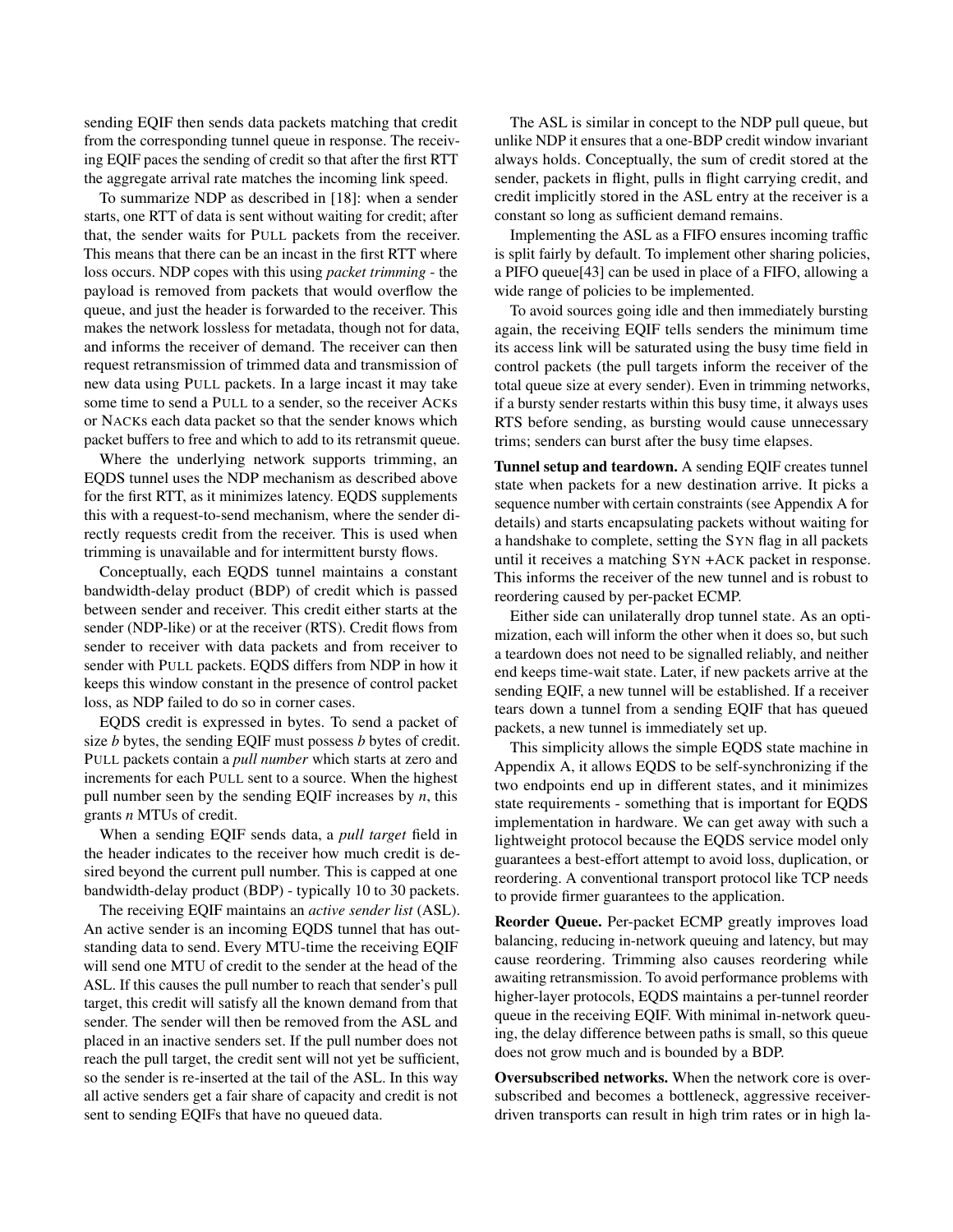sending EQIF then sends data packets matching that credit from the corresponding tunnel queue in response. The receiving EQIF paces the sending of credit so that after the first RTT the aggregate arrival rate matches the incoming link speed.

To summarize NDP as described in [\[18\]](#page-13-1): when a sender starts, one RTT of data is sent without waiting for credit; after that, the sender waits for PULL packets from the receiver. This means that there can be an incast in the first RTT where loss occurs. NDP copes with this using *packet trimming* - the payload is removed from packets that would overflow the queue, and just the header is forwarded to the receiver. This makes the network lossless for metadata, though not for data, and informs the receiver of demand. The receiver can then request retransmission of trimmed data and transmission of new data using PULL packets. In a large incast it may take some time to send a PULL to a sender, so the receiver ACKs or NACKs each data packet so that the sender knows which packet buffers to free and which to add to its retransmit queue.

Where the underlying network supports trimming, an EQDS tunnel uses the NDP mechanism as described above for the first RTT, as it minimizes latency. EQDS supplements this with a request-to-send mechanism, where the sender directly requests credit from the receiver. This is used when trimming is unavailable and for intermittent bursty flows.

Conceptually, each EQDS tunnel maintains a constant bandwidth-delay product (BDP) of credit which is passed between sender and receiver. This credit either starts at the sender (NDP-like) or at the receiver (RTS). Credit flows from sender to receiver with data packets and from receiver to sender with PULL packets. EQDS differs from NDP in how it keeps this window constant in the presence of control packet loss, as NDP failed to do so in corner cases.

EQDS credit is expressed in bytes. To send a packet of size *b* bytes, the sending EQIF must possess *b* bytes of credit. PULL packets contain a *pull number* which starts at zero and increments for each PULL sent to a source. When the highest pull number seen by the sending EQIF increases by *n*, this grants *n* MTUs of credit.

When a sending EQIF sends data, a *pull target* field in the header indicates to the receiver how much credit is desired beyond the current pull number. This is capped at one bandwidth-delay product (BDP) - typically 10 to 30 packets.

The receiving EQIF maintains an *active sender list* (ASL). An active sender is an incoming EQDS tunnel that has outstanding data to send. Every MTU-time the receiving EQIF will send one MTU of credit to the sender at the head of the ASL. If this causes the pull number to reach that sender's pull target, this credit will satisfy all the known demand from that sender. The sender will then be removed from the ASL and placed in an inactive senders set. If the pull number does not reach the pull target, the credit sent will not yet be sufficient, so the sender is re-inserted at the tail of the ASL. In this way all active senders get a fair share of capacity and credit is not sent to sending EQIFs that have no queued data.

The ASL is similar in concept to the NDP pull queue, but unlike NDP it ensures that a one-BDP credit window invariant always holds. Conceptually, the sum of credit stored at the sender, packets in flight, pulls in flight carrying credit, and credit implicitly stored in the ASL entry at the receiver is a constant so long as sufficient demand remains.

Implementing the ASL as a FIFO ensures incoming traffic is split fairly by default. To implement other sharing policies, a PIFO queue[\[43\]](#page-15-2) can be used in place of a FIFO, allowing a wide range of policies to be implemented.

To avoid sources going idle and then immediately bursting again, the receiving EQIF tells senders the minimum time its access link will be saturated using the busy time field in control packets (the pull targets inform the receiver of the total queue size at every sender). Even in trimming networks, if a bursty sender restarts within this busy time, it always uses RTS before sending, as bursting would cause unnecessary trims; senders can burst after the busy time elapses.

Tunnel setup and teardown. A sending EQIF creates tunnel state when packets for a new destination arrive. It picks a sequence number with certain constraints (see Appendix A for details) and starts encapsulating packets without waiting for a handshake to complete, setting the SYN flag in all packets until it receives a matching SYN +ACK packet in response. This informs the receiver of the new tunnel and is robust to reordering caused by per-packet ECMP.

Either side can unilaterally drop tunnel state. As an optimization, each will inform the other when it does so, but such a teardown does not need to be signalled reliably, and neither end keeps time-wait state. Later, if new packets arrive at the sending EQIF, a new tunnel will be established. If a receiver tears down a tunnel from a sending EQIF that has queued packets, a new tunnel is immediately set up.

This simplicity allows the simple EQDS state machine in Appendix A, it allows EQDS to be self-synchronizing if the two endpoints end up in different states, and it minimizes state requirements - something that is important for EQDS implementation in hardware. We can get away with such a lightweight protocol because the EQDS service model only guarantees a best-effort attempt to avoid loss, duplication, or reordering. A conventional transport protocol like TCP needs to provide firmer guarantees to the application.

Reorder Queue. Per-packet ECMP greatly improves load balancing, reducing in-network queuing and latency, but may cause reordering. Trimming also causes reordering while awaiting retransmission. To avoid performance problems with higher-layer protocols, EQDS maintains a per-tunnel reorder queue in the receiving EQIF. With minimal in-network queuing, the delay difference between paths is small, so this queue does not grow much and is bounded by a BDP.

Oversubscribed networks. When the network core is oversubscribed and becomes a bottleneck, aggressive receiverdriven transports can result in high trim rates or in high la-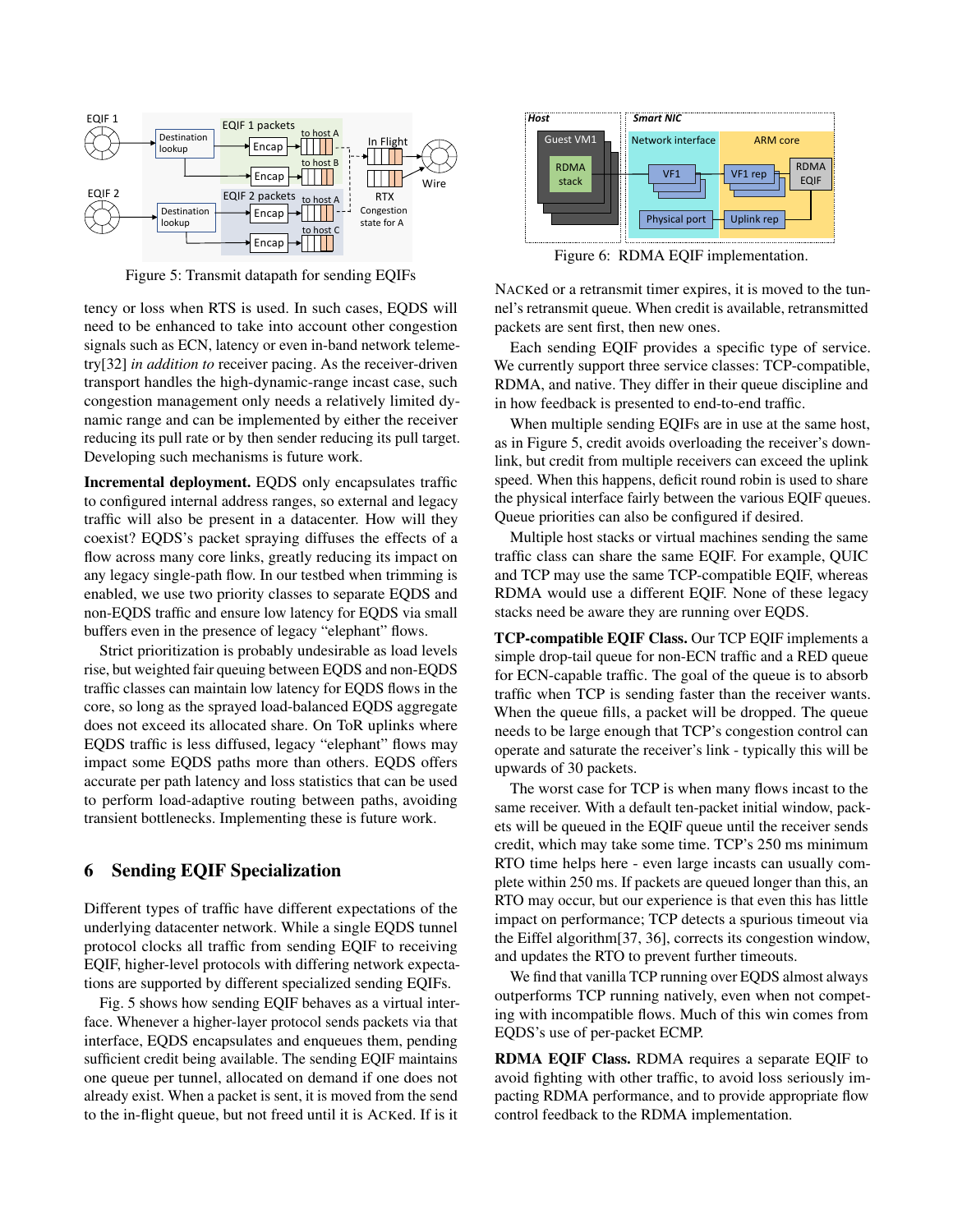<span id="page-5-0"></span>

Figure 5: Transmit datapath for sending EQIFs

tency or loss when RTS is used. In such cases, EQDS will need to be enhanced to take into account other congestion signals such as ECN, latency or even in-band network telemetry[\[32\]](#page-14-5) *in addition to* receiver pacing. As the receiver-driven transport handles the high-dynamic-range incast case, such congestion management only needs a relatively limited dynamic range and can be implemented by either the receiver reducing its pull rate or by then sender reducing its pull target. Developing such mechanisms is future work.

Incremental deployment. EQDS only encapsulates traffic to configured internal address ranges, so external and legacy traffic will also be present in a datacenter. How will they coexist? EQDS's packet spraying diffuses the effects of a flow across many core links, greatly reducing its impact on any legacy single-path flow. In our testbed when trimming is enabled, we use two priority classes to separate EQDS and non-EQDS traffic and ensure low latency for EQDS via small buffers even in the presence of legacy "elephant" flows.

Strict prioritization is probably undesirable as load levels rise, but weighted fair queuing between EQDS and non-EQDS traffic classes can maintain low latency for EQDS flows in the core, so long as the sprayed load-balanced EQDS aggregate does not exceed its allocated share. On ToR uplinks where EQDS traffic is less diffused, legacy "elephant" flows may impact some EQDS paths more than others. EQDS offers accurate per path latency and loss statistics that can be used to perform load-adaptive routing between paths, avoiding transient bottlenecks. Implementing these is future work.

## 6 Sending EQIF Specialization

Different types of traffic have different expectations of the underlying datacenter network. While a single EQDS tunnel protocol clocks all traffic from sending EQIF to receiving EQIF, higher-level protocols with differing network expectations are supported by different specialized sending EQIFs.

Fig. [5](#page-5-0) shows how sending EQIF behaves as a virtual interface. Whenever a higher-layer protocol sends packets via that interface, EQDS encapsulates and enqueues them, pending sufficient credit being available. The sending EQIF maintains one queue per tunnel, allocated on demand if one does not already exist. When a packet is sent, it is moved from the send to the in-flight queue, but not freed until it is ACKed. If is it

<span id="page-5-1"></span>

Figure 6: RDMA EQIF implementation.

NACKed or a retransmit timer expires, it is moved to the tunnel's retransmit queue. When credit is available, retransmitted packets are sent first, then new ones.

Each sending EQIF provides a specific type of service. We currently support three service classes: TCP-compatible, RDMA, and native. They differ in their queue discipline and in how feedback is presented to end-to-end traffic.

When multiple sending EQIFs are in use at the same host, as in Figure [5,](#page-5-0) credit avoids overloading the receiver's downlink, but credit from multiple receivers can exceed the uplink speed. When this happens, deficit round robin is used to share the physical interface fairly between the various EQIF queues. Queue priorities can also be configured if desired.

Multiple host stacks or virtual machines sending the same traffic class can share the same EQIF. For example, QUIC and TCP may use the same TCP-compatible EQIF, whereas RDMA would use a different EQIF. None of these legacy stacks need be aware they are running over EQDS.

TCP-compatible EQIF Class. Our TCP EQIF implements a simple drop-tail queue for non-ECN traffic and a RED queue for ECN-capable traffic. The goal of the queue is to absorb traffic when TCP is sending faster than the receiver wants. When the queue fills, a packet will be dropped. The queue needs to be large enough that TCP's congestion control can operate and saturate the receiver's link - typically this will be upwards of 30 packets.

The worst case for TCP is when many flows incast to the same receiver. With a default ten-packet initial window, packets will be queued in the EQIF queue until the receiver sends credit, which may take some time. TCP's 250 ms minimum RTO time helps here - even large incasts can usually complete within 250 ms. If packets are queued longer than this, an RTO may occur, but our experience is that even this has little impact on performance; TCP detects a spurious timeout via the Eiffel algorithm[\[37,](#page-14-6) [36\]](#page-14-7), corrects its congestion window, and updates the RTO to prevent further timeouts.

We find that vanilla TCP running over EQDS almost always outperforms TCP running natively, even when not competing with incompatible flows. Much of this win comes from EQDS's use of per-packet ECMP.

RDMA EQIF Class. RDMA requires a separate EQIF to avoid fighting with other traffic, to avoid loss seriously impacting RDMA performance, and to provide appropriate flow control feedback to the RDMA implementation.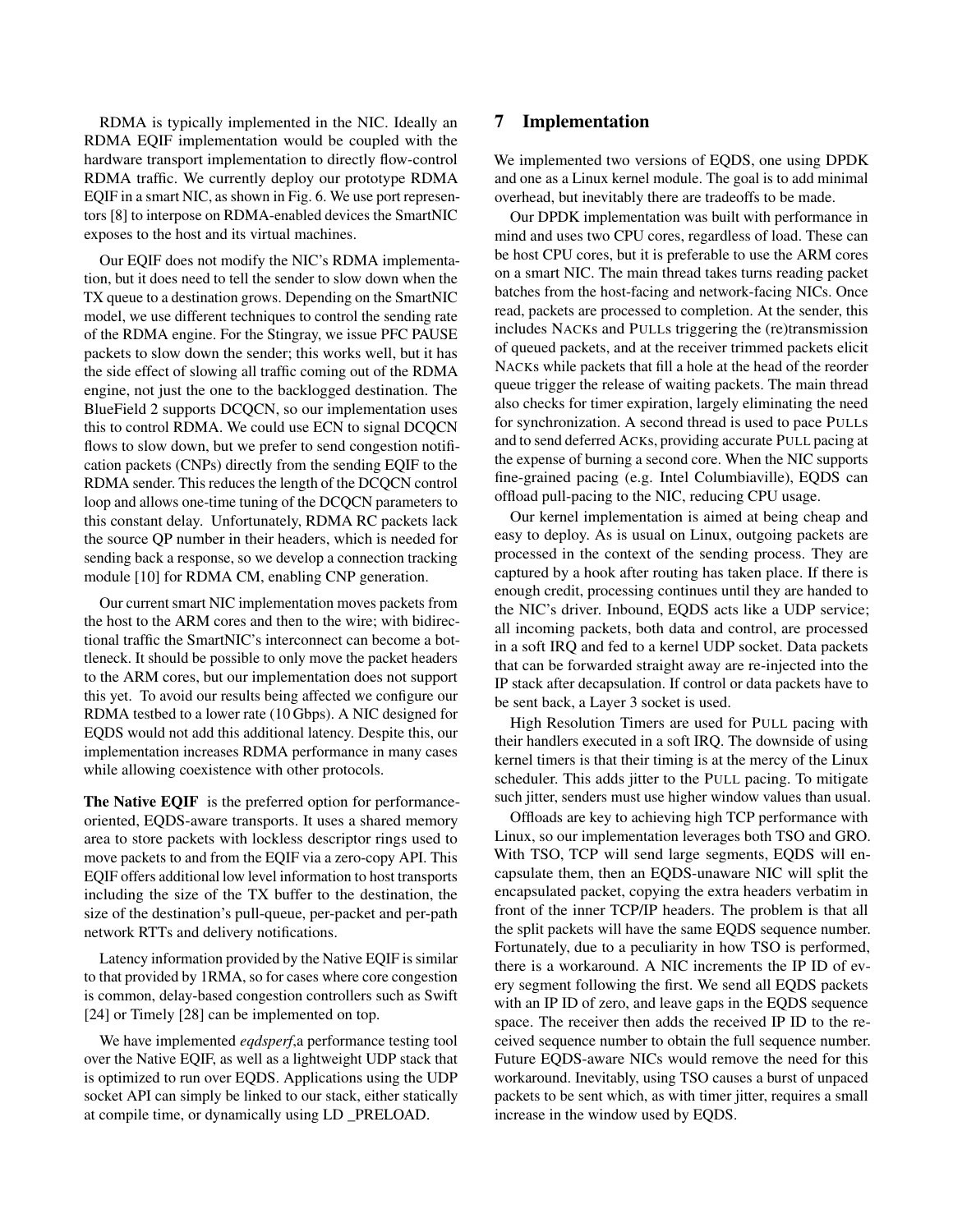RDMA is typically implemented in the NIC. Ideally an RDMA EQIF implementation would be coupled with the hardware transport implementation to directly flow-control RDMA traffic. We currently deploy our prototype RDMA EQIF in a smart NIC, as shown in Fig. [6.](#page-5-1) We use port representors [\[8\]](#page-13-7) to interpose on RDMA-enabled devices the SmartNIC exposes to the host and its virtual machines.

Our EQIF does not modify the NIC's RDMA implementation, but it does need to tell the sender to slow down when the TX queue to a destination grows. Depending on the SmartNIC model, we use different techniques to control the sending rate of the RDMA engine. For the Stingray, we issue PFC PAUSE packets to slow down the sender; this works well, but it has the side effect of slowing all traffic coming out of the RDMA engine, not just the one to the backlogged destination. The BlueField 2 supports DCQCN, so our implementation uses this to control RDMA. We could use ECN to signal DCQCN flows to slow down, but we prefer to send congestion notification packets (CNPs) directly from the sending EQIF to the RDMA sender. This reduces the length of the DCQCN control loop and allows one-time tuning of the DCQCN parameters to this constant delay. Unfortunately, RDMA RC packets lack the source QP number in their headers, which is needed for sending back a response, so we develop a connection tracking module [\[10\]](#page-13-8) for RDMA CM, enabling CNP generation.

Our current smart NIC implementation moves packets from the host to the ARM cores and then to the wire; with bidirectional traffic the SmartNIC's interconnect can become a bottleneck. It should be possible to only move the packet headers to the ARM cores, but our implementation does not support this yet. To avoid our results being affected we configure our RDMA testbed to a lower rate (10 Gbps). A NIC designed for EQDS would not add this additional latency. Despite this, our implementation increases RDMA performance in many cases while allowing coexistence with other protocols.

The Native EQIF is the preferred option for performanceoriented, EQDS-aware transports. It uses a shared memory area to store packets with lockless descriptor rings used to move packets to and from the EQIF via a zero-copy API. This EQIF offers additional low level information to host transports including the size of the TX buffer to the destination, the size of the destination's pull-queue, per-packet and per-path network RTTs and delivery notifications.

Latency information provided by the Native EQIF is similar to that provided by 1RMA, so for cases where core congestion is common, delay-based congestion controllers such as Swift [\[24\]](#page-14-8) or Timely [\[28\]](#page-14-1) can be implemented on top.

We have implemented *eqdsperf*,a performance testing tool over the Native EQIF, as well as a lightweight UDP stack that is optimized to run over EQDS. Applications using the UDP socket API can simply be linked to our stack, either statically at compile time, or dynamically using LD \_PRELOAD.

## 7 Implementation

We implemented two versions of EQDS, one using DPDK and one as a Linux kernel module. The goal is to add minimal overhead, but inevitably there are tradeoffs to be made.

Our DPDK implementation was built with performance in mind and uses two CPU cores, regardless of load. These can be host CPU cores, but it is preferable to use the ARM cores on a smart NIC. The main thread takes turns reading packet batches from the host-facing and network-facing NICs. Once read, packets are processed to completion. At the sender, this includes NACKs and PULLs triggering the (re)transmission of queued packets, and at the receiver trimmed packets elicit NACKs while packets that fill a hole at the head of the reorder queue trigger the release of waiting packets. The main thread also checks for timer expiration, largely eliminating the need for synchronization. A second thread is used to pace PULLs and to send deferred ACKs, providing accurate PULL pacing at the expense of burning a second core. When the NIC supports fine-grained pacing (e.g. Intel Columbiaville), EQDS can offload pull-pacing to the NIC, reducing CPU usage.

Our kernel implementation is aimed at being cheap and easy to deploy. As is usual on Linux, outgoing packets are processed in the context of the sending process. They are captured by a hook after routing has taken place. If there is enough credit, processing continues until they are handed to the NIC's driver. Inbound, EQDS acts like a UDP service; all incoming packets, both data and control, are processed in a soft IRQ and fed to a kernel UDP socket. Data packets that can be forwarded straight away are re-injected into the IP stack after decapsulation. If control or data packets have to be sent back, a Layer 3 socket is used.

High Resolution Timers are used for PULL pacing with their handlers executed in a soft IRQ. The downside of using kernel timers is that their timing is at the mercy of the Linux scheduler. This adds jitter to the PULL pacing. To mitigate such jitter, senders must use higher window values than usual.

Offloads are key to achieving high TCP performance with Linux, so our implementation leverages both TSO and GRO. With TSO, TCP will send large segments, EQDS will encapsulate them, then an EQDS-unaware NIC will split the encapsulated packet, copying the extra headers verbatim in front of the inner TCP/IP headers. The problem is that all the split packets will have the same EQDS sequence number. Fortunately, due to a peculiarity in how TSO is performed, there is a workaround. A NIC increments the IP ID of every segment following the first. We send all EQDS packets with an IP ID of zero, and leave gaps in the EQDS sequence space. The receiver then adds the received IP ID to the received sequence number to obtain the full sequence number. Future EQDS-aware NICs would remove the need for this workaround. Inevitably, using TSO causes a burst of unpaced packets to be sent which, as with timer jitter, requires a small increase in the window used by EQDS.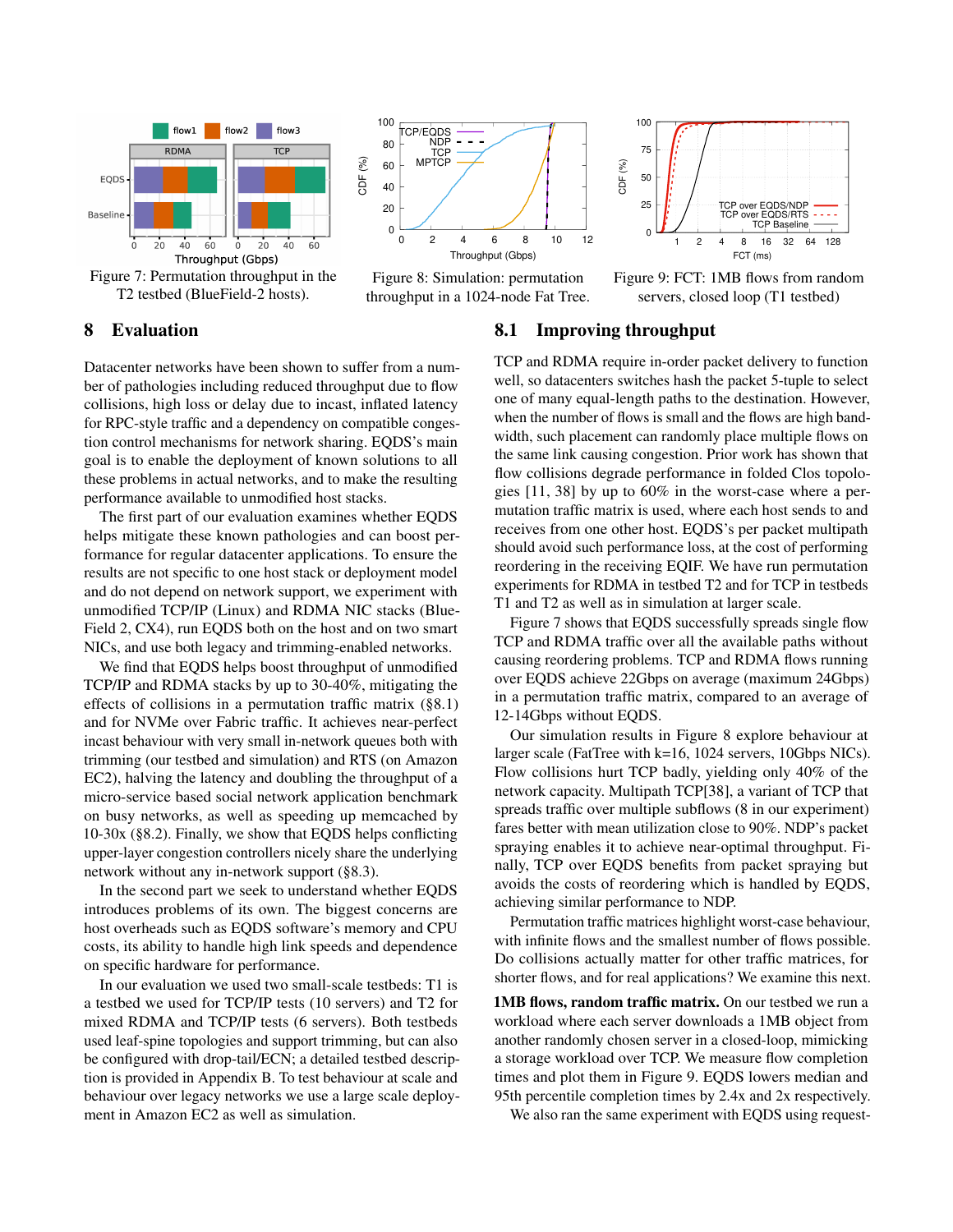<span id="page-7-1"></span>





Figure 8: Simulation: permutation throughput in a 1024-node Fat Tree.





## 8 Evaluation

Datacenter networks have been shown to suffer from a number of pathologies including reduced throughput due to flow collisions, high loss or delay due to incast, inflated latency for RPC-style traffic and a dependency on compatible congestion control mechanisms for network sharing. EQDS's main goal is to enable the deployment of known solutions to all these problems in actual networks, and to make the resulting performance available to unmodified host stacks.

The first part of our evaluation examines whether EQDS helps mitigate these known pathologies and can boost performance for regular datacenter applications. To ensure the results are not specific to one host stack or deployment model and do not depend on network support, we experiment with unmodified TCP/IP (Linux) and RDMA NIC stacks (Blue-Field 2, CX4), run EQDS both on the host and on two smart NICs, and use both legacy and trimming-enabled networks.

We find that EQDS helps boost throughput of unmodified TCP/IP and RDMA stacks by up to 30-40%, mitigating the effects of collisions in a permutation traffic matrix ([§8.1\)](#page-7-0) and for NVMe over Fabric traffic. It achieves near-perfect incast behaviour with very small in-network queues both with trimming (our testbed and simulation) and RTS (on Amazon EC2), halving the latency and doubling the throughput of a micro-service based social network application benchmark on busy networks, as well as speeding up memcached by 10-30x ([§8.2\)](#page-8-0). Finally, we show that EQDS helps conflicting upper-layer congestion controllers nicely share the underlying network without any in-network support ([§8.3\)](#page-9-0).

In the second part we seek to understand whether EQDS introduces problems of its own. The biggest concerns are host overheads such as EQDS software's memory and CPU costs, its ability to handle high link speeds and dependence on specific hardware for performance.

In our evaluation we used two small-scale testbeds: T1 is a testbed we used for TCP/IP tests (10 servers) and T2 for mixed RDMA and TCP/IP tests (6 servers). Both testbeds used leaf-spine topologies and support trimming, but can also be configured with drop-tail/ECN; a detailed testbed description is provided in Appendix B. To test behaviour at scale and behaviour over legacy networks we use a large scale deployment in Amazon EC2 as well as simulation.

## <span id="page-7-0"></span>8.1 Improving throughput

TCP and RDMA require in-order packet delivery to function well, so datacenters switches hash the packet 5-tuple to select one of many equal-length paths to the destination. However, when the number of flows is small and the flows are high bandwidth, such placement can randomly place multiple flows on the same link causing congestion. Prior work has shown that flow collisions degrade performance in folded Clos topologies [\[11,](#page-13-9) [38\]](#page-14-3) by up to 60% in the worst-case where a permutation traffic matrix is used, where each host sends to and receives from one other host. EQDS's per packet multipath should avoid such performance loss, at the cost of performing reordering in the receiving EQIF. We have run permutation experiments for RDMA in testbed T2 and for TCP in testbeds T1 and T2 as well as in simulation at larger scale.

Figure [7](#page-7-1) shows that EQDS successfully spreads single flow TCP and RDMA traffic over all the available paths without causing reordering problems. TCP and RDMA flows running over EQDS achieve 22Gbps on average (maximum 24Gbps) in a permutation traffic matrix, compared to an average of 12-14Gbps without EQDS.

Our simulation results in Figure [8](#page-7-1) explore behaviour at larger scale (FatTree with k=16, 1024 servers, 10Gbps NICs). Flow collisions hurt TCP badly, yielding only 40% of the network capacity. Multipath TCP[\[38\]](#page-14-3), a variant of TCP that spreads traffic over multiple subflows (8 in our experiment) fares better with mean utilization close to 90%. NDP's packet spraying enables it to achieve near-optimal throughput. Finally, TCP over EQDS benefits from packet spraying but avoids the costs of reordering which is handled by EQDS, achieving similar performance to NDP.

Permutation traffic matrices highlight worst-case behaviour, with infinite flows and the smallest number of flows possible. Do collisions actually matter for other traffic matrices, for shorter flows, and for real applications? We examine this next.

1MB flows, random traffic matrix. On our testbed we run a workload where each server downloads a 1MB object from another randomly chosen server in a closed-loop, mimicking a storage workload over TCP. We measure flow completion times and plot them in Figure [9.](#page-7-1) EQDS lowers median and 95th percentile completion times by 2.4x and 2x respectively.

We also ran the same experiment with EQDS using request-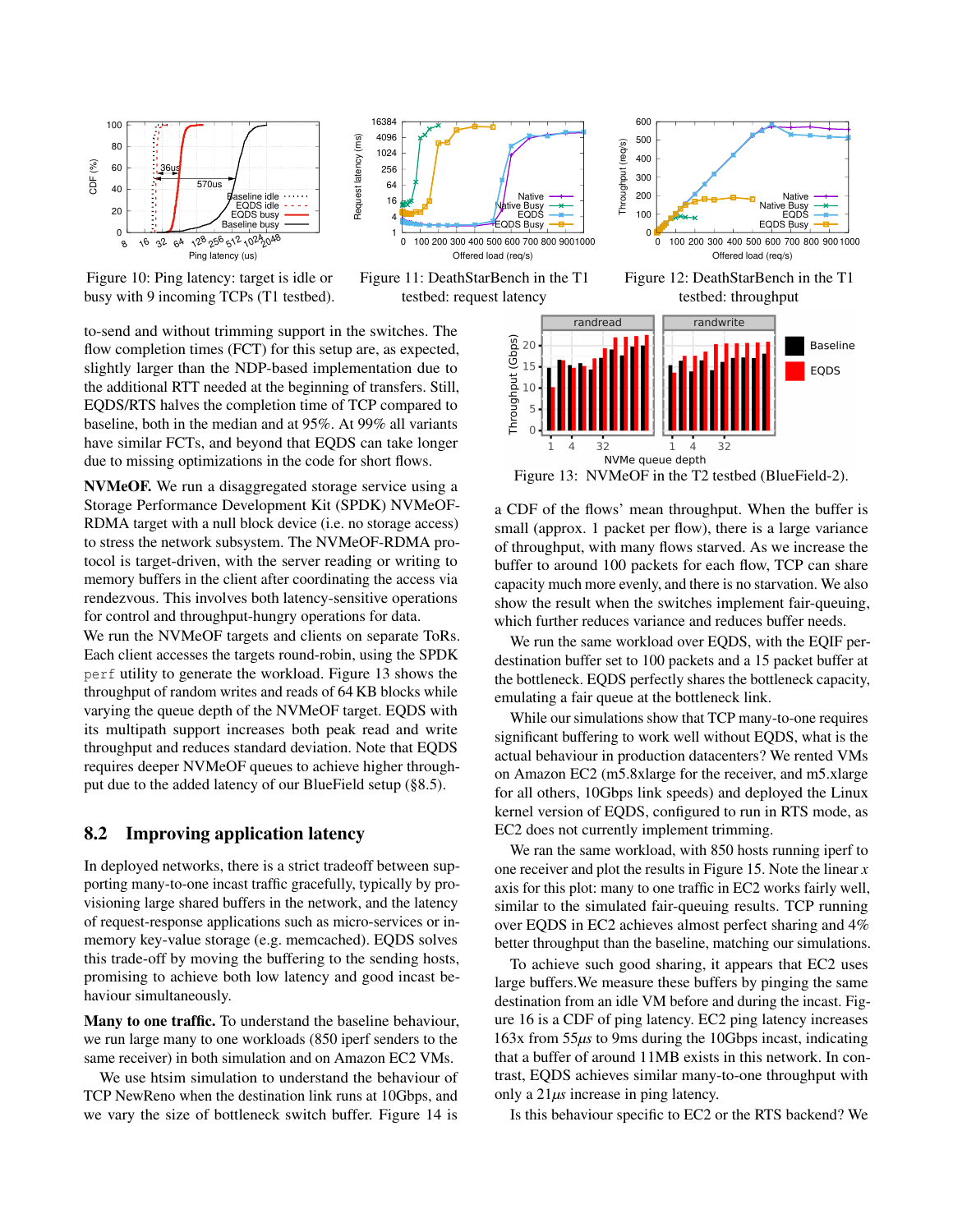<span id="page-8-2"></span>

Figure 10: Ping latency: target is idle or busy with 9 incoming TCPs (T1 testbed).



Figure 11: DeathStarBench in the T1 testbed: request latency



<span id="page-8-1"></span>testbed: throughput

to-send and without trimming support in the switches. The flow completion times (FCT) for this setup are, as expected, slightly larger than the NDP-based implementation due to the additional RTT needed at the beginning of transfers. Still, EQDS/RTS halves the completion time of TCP compared to baseline, both in the median and at 95%. At 99% all variants have similar FCTs, and beyond that EQDS can take longer due to missing optimizations in the code for short flows.

NVMeOF. We run a disaggregated storage service using a Storage Performance Development Kit (SPDK) NVMeOF-RDMA target with a null block device (i.e. no storage access) to stress the network subsystem. The NVMeOF-RDMA protocol is target-driven, with the server reading or writing to memory buffers in the client after coordinating the access via rendezvous. This involves both latency-sensitive operations for control and throughput-hungry operations for data.

original interest and content interest and (requisinger) is the system of the system of the system of the system of the system of the system of the system of the system of the beginning of transferse. Sull, and at the beg We run the NVMeOF targets and clients on separate ToRs. Each client accesses the targets round-robin, using the SPDK perf utility to generate the workload. Figure [13](#page-8-1) shows the throughput of random writes and reads of 64 KB blocks while varying the queue depth of the NVMeOF target. EQDS with its multipath support increases both peak read and write throughput and reduces standard deviation. Note that EQDS requires deeper NVMeOF queues to achieve higher throughput due to the added latency of our BlueField setup ([§8.5\)](#page-10-0).

## <span id="page-8-0"></span>8.2 Improving application latency

In deployed networks, there is a strict tradeoff between supporting many-to-one incast traffic gracefully, typically by provisioning large shared buffers in the network, and the latency of request-response applications such as micro-services or inmemory key-value storage (e.g. memcached). EQDS solves this trade-off by moving the buffering to the sending hosts, promising to achieve both low latency and good incast behaviour simultaneously.

Many to one traffic. To understand the baseline behaviour, we run large many to one workloads (850 iperf senders to the same receiver) in both simulation and on Amazon EC2 VMs.

We use htsim simulation to understand the behaviour of TCP NewReno when the destination link runs at 10Gbps, and we vary the size of bottleneck switch buffer. Figure [14](#page-9-1) is



Figure 13: NVMeOF in the T2 testbed (BlueField-2).

a CDF of the flows' mean throughput. When the buffer is small (approx. 1 packet per flow), there is a large variance of throughput, with many flows starved. As we increase the buffer to around 100 packets for each flow, TCP can share capacity much more evenly, and there is no starvation. We also show the result when the switches implement fair-queuing, which further reduces variance and reduces buffer needs.

We run the same workload over EQDS, with the EQIF perdestination buffer set to 100 packets and a 15 packet buffer at the bottleneck. EQDS perfectly shares the bottleneck capacity, emulating a fair queue at the bottleneck link.

While our simulations show that TCP many-to-one requires significant buffering to work well without EQDS, what is the actual behaviour in production datacenters? We rented VMs on Amazon EC2 (m5.8xlarge for the receiver, and m5.xlarge for all others, 10Gbps link speeds) and deployed the Linux kernel version of EQDS, configured to run in RTS mode, as EC2 does not currently implement trimming.

We ran the same workload, with 850 hosts running iperf to one receiver and plot the results in Figure [15.](#page-9-1) Note the linear *x* axis for this plot: many to one traffic in EC2 works fairly well, similar to the simulated fair-queuing results. TCP running over EQDS in EC2 achieves almost perfect sharing and 4% better throughput than the baseline, matching our simulations.

To achieve such good sharing, it appears that EC2 uses large buffers.We measure these buffers by pinging the same destination from an idle VM before and during the incast. Figure [16](#page-9-1) is a CDF of ping latency. EC2 ping latency increases 163x from 55*µs* to 9ms during the 10Gbps incast, indicating that a buffer of around 11MB exists in this network. In contrast, EQDS achieves similar many-to-one throughput with only a 21*µs* increase in ping latency.

Is this behaviour specific to EC2 or the RTS backend? We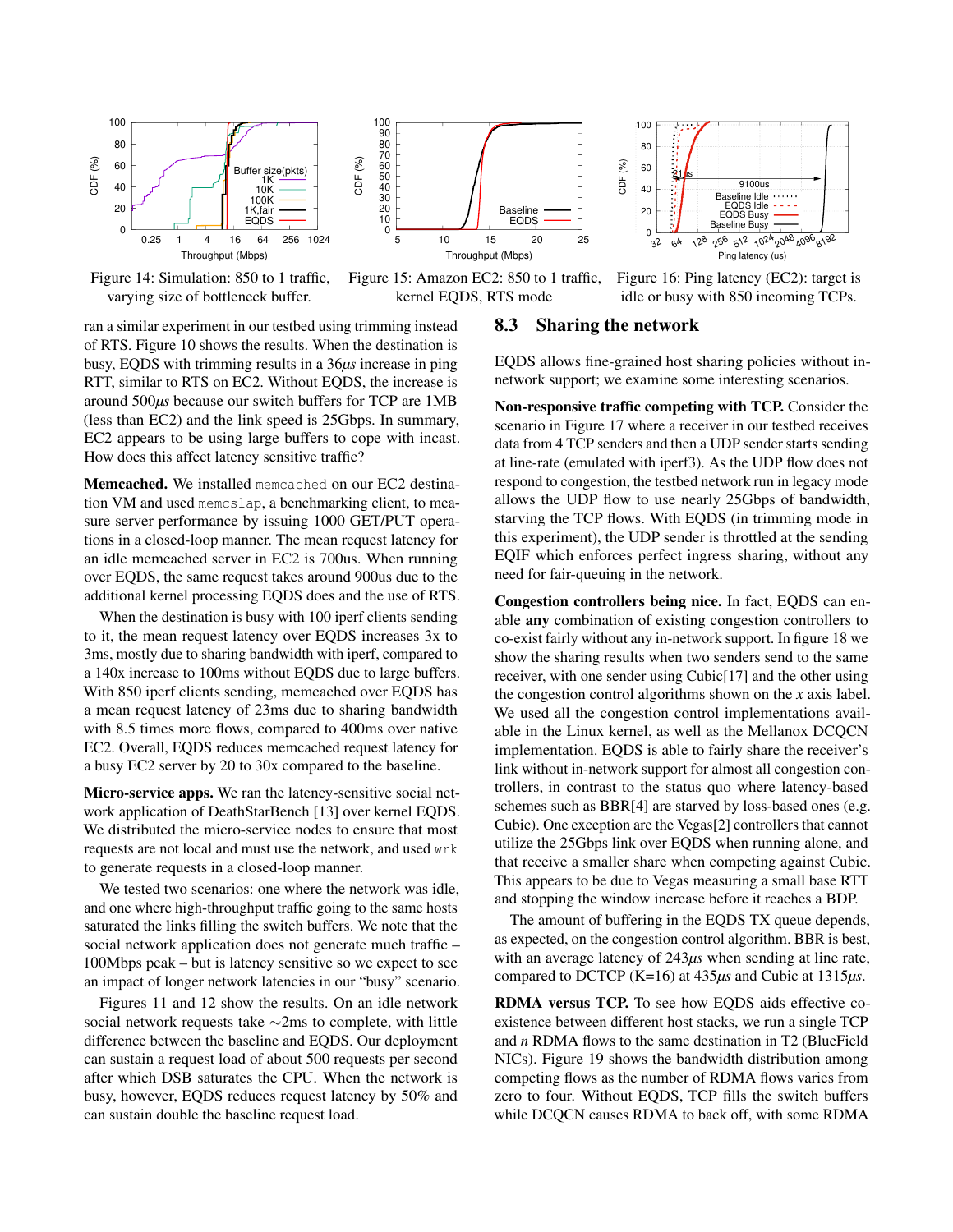<span id="page-9-1"></span>

Figure 14: Simulation: 850 to 1 traffic, varying size of bottleneck buffer.



Figure 15: Amazon EC2: 850 to 1 traffic, kernel EQDS, RTS mode



Figure 16: Ping latency (EC2): target is idle or busy with 850 incoming TCPs.

ran a similar experiment in our testbed using trimming instead of RTS. Figure [10](#page-8-2) shows the results. When the destination is busy, EQDS with trimming results in a 36*µs* increase in ping RTT, similar to RTS on EC2. Without EQDS, the increase is around 500*µs* because our switch buffers for TCP are 1MB (less than EC2) and the link speed is 25Gbps. In summary, EC2 appears to be using large buffers to cope with incast. How does this affect latency sensitive traffic?

Memcached. We installed memcached on our EC2 destination VM and used memcslap, a benchmarking client, to measure server performance by issuing 1000 GET/PUT operations in a closed-loop manner. The mean request latency for an idle memcached server in EC2 is 700us. When running over EQDS, the same request takes around 900us due to the additional kernel processing EQDS does and the use of RTS.

Frace size (pkts)<br>
The size (pkts)<br>
10K<br>  $\frac{1}{10K}$ <br>  $\frac{1}{10K}$ <br>  $\frac{1}{10K}$ <br>  $\frac{1}{10K}$ <br>  $\frac{1}{10K}$ <br>  $\frac{1}{10K}$ <br>  $\frac{1}{10K}$ <br>  $\frac{1}{10K}$ <br>  $\frac{1}{10K}$ <br>  $\frac{1}{10K}$ <br>  $\frac{1}{10K}$ <br>  $\frac{1}{10K}$ <br>  $\frac{1}{10K}$ <br>  $\frac{1}{10K}$ When the destination is busy with 100 iperf clients sending to it, the mean request latency over EQDS increases 3x to 3ms, mostly due to sharing bandwidth with iperf, compared to a 140x increase to 100ms without EQDS due to large buffers. With 850 iperf clients sending, memcached over EQDS has a mean request latency of 23ms due to sharing bandwidth with 8.5 times more flows, compared to 400ms over native EC2. Overall, EQDS reduces memcached request latency for a busy EC2 server by 20 to 30x compared to the baseline.

Micro-service apps. We ran the latency-sensitive social network application of DeathStarBench [\[13\]](#page-13-10) over kernel EQDS. We distributed the micro-service nodes to ensure that most requests are not local and must use the network, and used wrk to generate requests in a closed-loop manner.

We tested two scenarios: one where the network was idle, and one where high-throughput traffic going to the same hosts saturated the links filling the switch buffers. We note that the social network application does not generate much traffic – 100Mbps peak – but is latency sensitive so we expect to see an impact of longer network latencies in our "busy" scenario.

Figures [11](#page-8-2) and [12](#page-8-2) show the results. On an idle network social network requests take ∼2ms to complete, with little difference between the baseline and EQDS. Our deployment can sustain a request load of about 500 requests per second after which DSB saturates the CPU. When the network is busy, however, EQDS reduces request latency by 50% and can sustain double the baseline request load.

#### <span id="page-9-0"></span>8.3 Sharing the network

EQDS allows fine-grained host sharing policies without innetwork support; we examine some interesting scenarios.

Non-responsive traffic competing with TCP. Consider the scenario in Figure [17](#page-10-1) where a receiver in our testbed receives data from 4 TCP senders and then a UDP sender starts sending at line-rate (emulated with iperf3). As the UDP flow does not respond to congestion, the testbed network run in legacy mode allows the UDP flow to use nearly 25Gbps of bandwidth, starving the TCP flows. With EQDS (in trimming mode in this experiment), the UDP sender is throttled at the sending EQIF which enforces perfect ingress sharing, without any need for fair-queuing in the network.

Congestion controllers being nice. In fact, EQDS can enable any combination of existing congestion controllers to co-exist fairly without any in-network support. In figure [18](#page-10-1) we show the sharing results when two senders send to the same receiver, with one sender using Cubic[\[17\]](#page-13-11) and the other using the congestion control algorithms shown on the *x* axis label. We used all the congestion control implementations available in the Linux kernel, as well as the Mellanox DCQCN implementation. EQDS is able to fairly share the receiver's link without in-network support for almost all congestion controllers, in contrast to the status quo where latency-based schemes such as BBR[\[4\]](#page-13-12) are starved by loss-based ones (e.g. Cubic). One exception are the Vegas[\[2\]](#page-13-13) controllers that cannot utilize the 25Gbps link over EQDS when running alone, and that receive a smaller share when competing against Cubic. This appears to be due to Vegas measuring a small base RTT and stopping the window increase before it reaches a BDP.

The amount of buffering in the EQDS TX queue depends, as expected, on the congestion control algorithm. BBR is best, with an average latency of 243*µs* when sending at line rate, compared to DCTCP (K=16) at 435*µs* and Cubic at 1315*µs*.

RDMA versus TCP. To see how EQDS aids effective coexistence between different host stacks, we run a single TCP and *n* RDMA flows to the same destination in T2 (BlueField NICs). Figure [19](#page-10-1) shows the bandwidth distribution among competing flows as the number of RDMA flows varies from zero to four. Without EQDS, TCP fills the switch buffers while DCQCN causes RDMA to back off, with some RDMA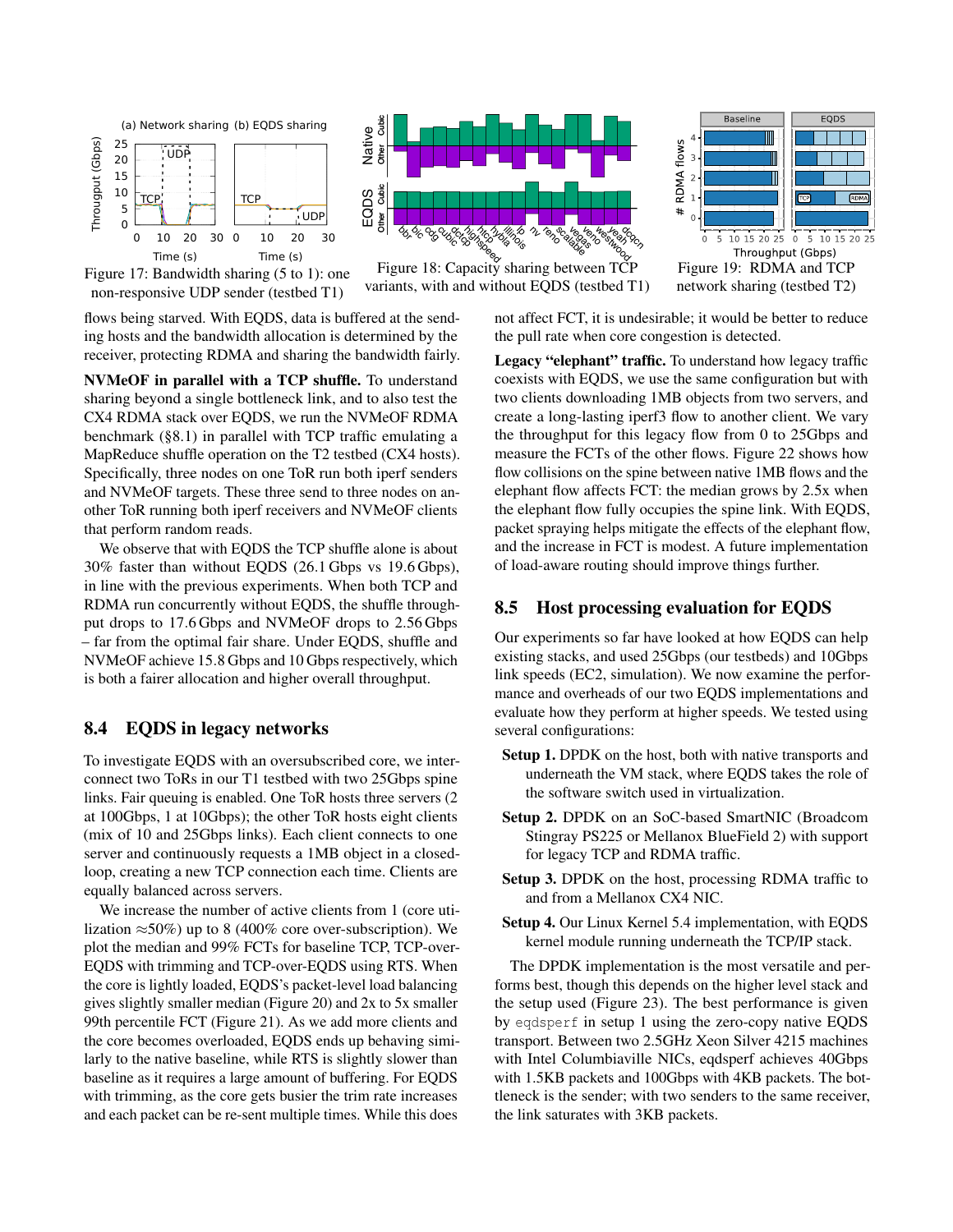<span id="page-10-1"></span>

Figure 17: Bandwidth sharing (5 to 1): one non-responsive UDP sender (testbed T1)

flows being starved. With EQDS, data is buffered at the sending hosts and the bandwidth allocation is determined by the receiver, protecting RDMA and sharing the bandwidth fairly.

NVMeOF in parallel with a TCP shuffle. To understand sharing beyond a single bottleneck link, and to also test the CX4 RDMA stack over EQDS, we run the NVMeOF RDMA benchmark ([§8.1\)](#page-7-0) in parallel with TCP traffic emulating a MapReduce shuffle operation on the T2 testbed (CX4 hosts). Specifically, three nodes on one ToR run both iperf senders and NVMeOF targets. These three send to three nodes on another ToR running both iperf receivers and NVMeOF clients that perform random reads.

We observe that with EQDS the TCP shuffle alone is about 30% faster than without EQDS (26.1 Gbps vs 19.6 Gbps), in line with the previous experiments. When both TCP and RDMA run concurrently without EQDS, the shuffle throughput drops to 17.6 Gbps and NVMeOF drops to 2.56 Gbps – far from the optimal fair share. Under EQDS, shuffle and NVMeOF achieve 15.8 Gbps and 10 Gbps respectively, which is both a fairer allocation and higher overall throughput.

## 8.4 EQDS in legacy networks

To investigate EQDS with an oversubscribed core, we interconnect two ToRs in our T1 testbed with two 25Gbps spine links. Fair queuing is enabled. One ToR hosts three servers (2 at 100Gbps, 1 at 10Gbps); the other ToR hosts eight clients (mix of 10 and 25Gbps links). Each client connects to one server and continuously requests a 1MB object in a closedloop, creating a new TCP connection each time. Clients are equally balanced across servers.

We increase the number of active clients from 1 (core utilization  $\approx 50\%$ ) up to 8 (400% core over-subscription). We plot the median and 99% FCTs for baseline TCP, TCP-over-EQDS with trimming and TCP-over-EQDS using RTS. When the core is lightly loaded, EQDS's packet-level load balancing gives slightly smaller median (Figure [20\)](#page-11-0) and 2x to 5x smaller 99th percentile FCT (Figure [21\)](#page-11-0). As we add more clients and the core becomes overloaded, EQDS ends up behaving similarly to the native baseline, while RTS is slightly slower than baseline as it requires a large amount of buffering. For EQDS with trimming, as the core gets busier the trim rate increases and each packet can be re-sent multiple times. While this does



variants, with and without EQDS (testbed T1)



network sharing (testbed T2)

not affect FCT, it is undesirable; it would be better to reduce the pull rate when core congestion is detected.

Legacy "elephant" traffic. To understand how legacy traffic coexists with EQDS, we use the same configuration but with two clients downloading 1MB objects from two servers, and create a long-lasting iperf3 flow to another client. We vary the throughput for this legacy flow from 0 to 25Gbps and measure the FCTs of the other flows. Figure [22](#page-11-0) shows how flow collisions on the spine between native 1MB flows and the elephant flow affects FCT: the median grows by 2.5x when the elephant flow fully occupies the spine link. With EQDS, packet spraying helps mitigate the effects of the elephant flow, and the increase in FCT is modest. A future implementation of load-aware routing should improve things further.

# <span id="page-10-0"></span>8.5 Host processing evaluation for EQDS

Our experiments so far have looked at how EQDS can help existing stacks, and used 25Gbps (our testbeds) and 10Gbps link speeds (EC2, simulation). We now examine the performance and overheads of our two EQDS implementations and evaluate how they perform at higher speeds. We tested using several configurations:

- Setup 1. DPDK on the host, both with native transports and underneath the VM stack, where EQDS takes the role of the software switch used in virtualization.
- Setup 2. DPDK on an SoC-based SmartNIC (Broadcom Stingray PS225 or Mellanox BlueField 2) with support for legacy TCP and RDMA traffic.
- Setup 3. DPDK on the host, processing RDMA traffic to and from a Mellanox CX4 NIC.
- Setup 4. Our Linux Kernel 5.4 implementation, with EQDS kernel module running underneath the TCP/IP stack.

The DPDK implementation is the most versatile and performs best, though this depends on the higher level stack and the setup used (Figure [23\)](#page-11-1). The best performance is given by eqdsperf in setup 1 using the zero-copy native EQDS transport. Between two 2.5GHz Xeon Silver 4215 machines with Intel Columbiaville NICs, eqdsperf achieves 40Gbps with 1.5KB packets and 100Gbps with 4KB packets. The bottleneck is the sender; with two senders to the same receiver, the link saturates with 3KB packets.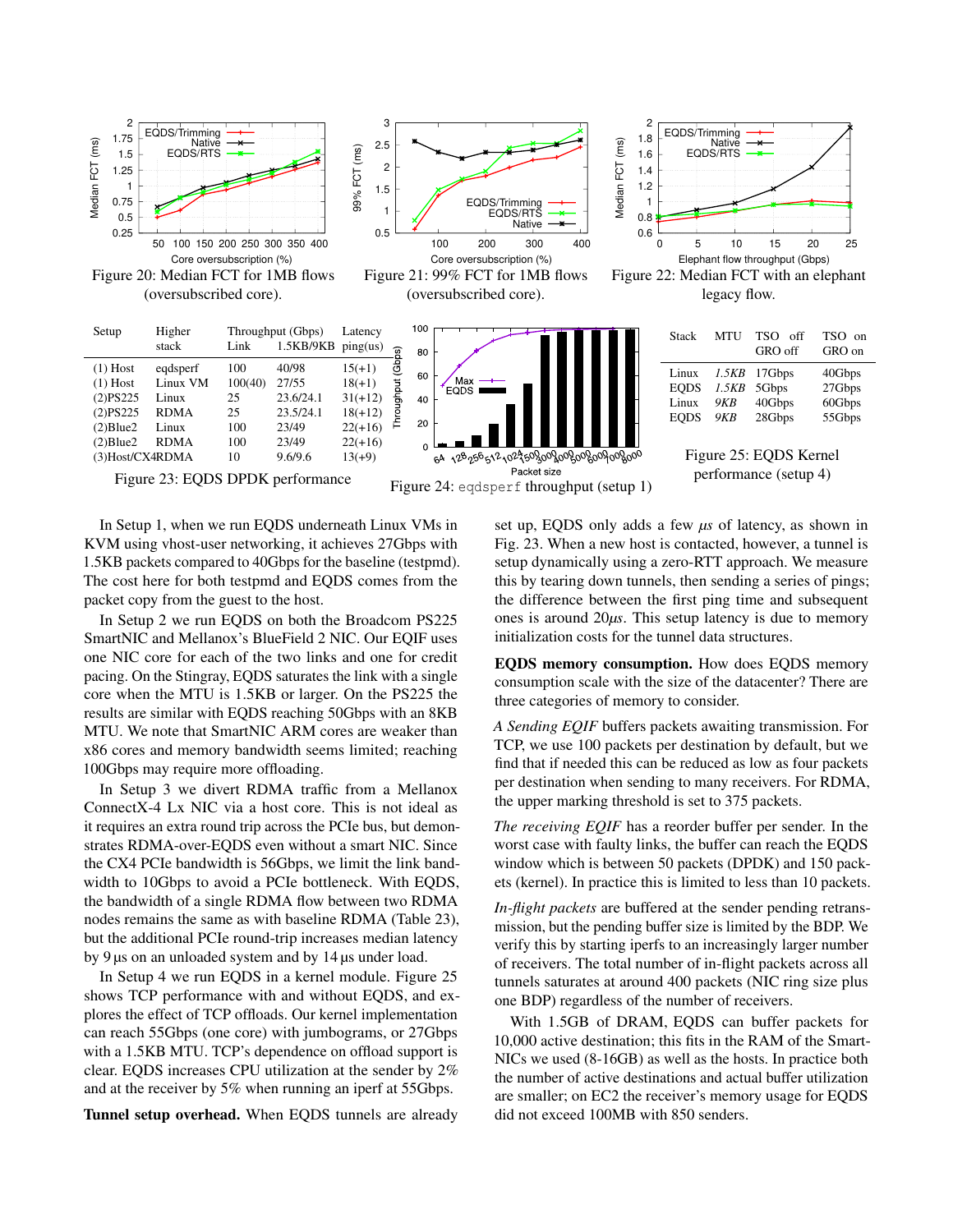<span id="page-11-0"></span>



(oversubscribed core).



Figure 22: Median FCT with an elephant legacy flow.

<span id="page-11-1"></span>



In Setup 1, when we run EQDS underneath Linux VMs in KVM using vhost-user networking, it achieves 27Gbps with 1.5KB packets compared to 40Gbps for the baseline (testpmd). The cost here for both testpmd and EQDS comes from the packet copy from the guest to the host.

In Setup 2 we run EQDS on both the Broadcom PS225 SmartNIC and Mellanox's BlueField 2 NIC. Our EQIF uses one NIC core for each of the two links and one for credit pacing. On the Stingray, EQDS saturates the link with a single core when the MTU is 1.5KB or larger. On the PS225 the results are similar with EQDS reaching 50Gbps with an 8KB MTU. We note that SmartNIC ARM cores are weaker than x86 cores and memory bandwidth seems limited; reaching 100Gbps may require more offloading.

In Setup 3 we divert RDMA traffic from a Mellanox ConnectX-4 Lx NIC via a host core. This is not ideal as it requires an extra round trip across the PCIe bus, but demonstrates RDMA-over-EQDS even without a smart NIC. Since the CX4 PCIe bandwidth is 56Gbps, we limit the link bandwidth to 10Gbps to avoid a PCIe bottleneck. With EQDS, the bandwidth of a single RDMA flow between two RDMA nodes remains the same as with baseline RDMA (Table [23\)](#page-11-1), but the additional PCIe round-trip increases median latency by 9 µs on an unloaded system and by 14 µs under load.

In Setup 4 we run EQDS in a kernel module. Figure [25](#page-11-1) shows TCP performance with and without EQDS, and explores the effect of TCP offloads. Our kernel implementation can reach 55Gbps (one core) with jumbograms, or 27Gbps with a 1.5KB MTU. TCP's dependence on offload support is clear. EQDS increases CPU utilization at the sender by 2% and at the receiver by 5% when running an iperf at 55Gbps.

Tunnel setup overhead. When EQDS tunnels are already

set up, EQDS only adds a few *µs* of latency, as shown in Fig. [23.](#page-11-1) When a new host is contacted, however, a tunnel is setup dynamically using a zero-RTT approach. We measure this by tearing down tunnels, then sending a series of pings; the difference between the first ping time and subsequent ones is around 20*µs*. This setup latency is due to memory initialization costs for the tunnel data structures.

EQDS memory consumption. How does EQDS memory consumption scale with the size of the datacenter? There are three categories of memory to consider.

*A Sending EQIF* buffers packets awaiting transmission. For TCP, we use 100 packets per destination by default, but we find that if needed this can be reduced as low as four packets per destination when sending to many receivers. For RDMA, the upper marking threshold is set to 375 packets.

*The receiving EQIF* has a reorder buffer per sender. In the worst case with faulty links, the buffer can reach the EQDS window which is between 50 packets (DPDK) and 150 packets (kernel). In practice this is limited to less than 10 packets.

*In-flight packets* are buffered at the sender pending retransmission, but the pending buffer size is limited by the BDP. We verify this by starting iperfs to an increasingly larger number of receivers. The total number of in-flight packets across all tunnels saturates at around 400 packets (NIC ring size plus one BDP) regardless of the number of receivers.

With 1.5GB of DRAM, EQDS can buffer packets for 10,000 active destination; this fits in the RAM of the Smart-NICs we used (8-16GB) as well as the hosts. In practice both the number of active destinations and actual buffer utilization are smaller; on EC2 the receiver's memory usage for EQDS did not exceed 100MB with 850 senders.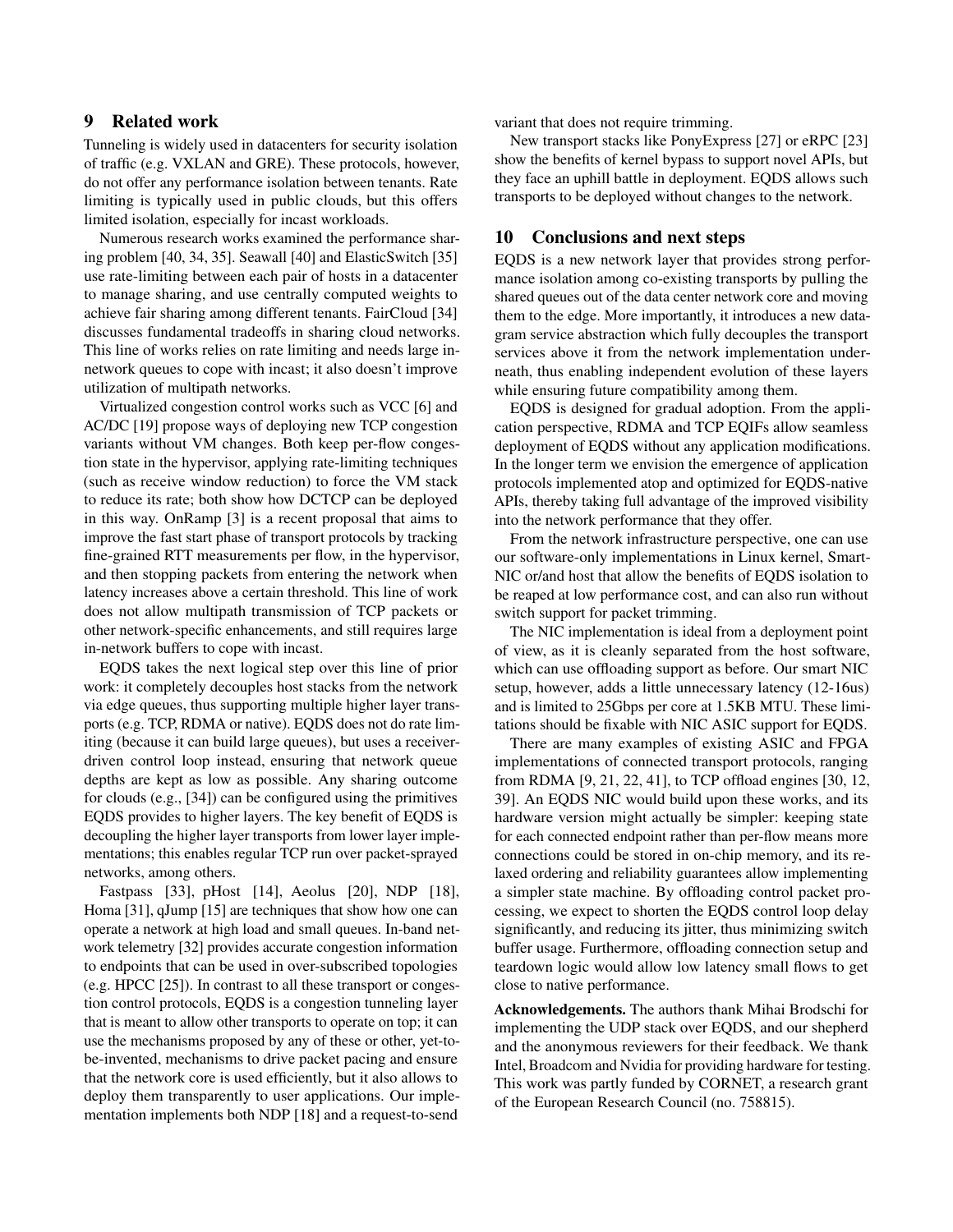# 9 Related work

Tunneling is widely used in datacenters for security isolation of traffic (e.g. VXLAN and GRE). These protocols, however, do not offer any performance isolation between tenants. Rate limiting is typically used in public clouds, but this offers limited isolation, especially for incast workloads.

Numerous research works examined the performance sharing problem [\[40,](#page-14-9) [34,](#page-14-10) [35\]](#page-14-11). Seawall [\[40\]](#page-14-9) and ElasticSwitch [\[35\]](#page-14-11) use rate-limiting between each pair of hosts in a datacenter to manage sharing, and use centrally computed weights to achieve fair sharing among different tenants. FairCloud [\[34\]](#page-14-10) discusses fundamental tradeoffs in sharing cloud networks. This line of works relies on rate limiting and needs large innetwork queues to cope with incast; it also doesn't improve utilization of multipath networks.

Virtualized congestion control works such as VCC [\[6\]](#page-13-14) and AC/DC [\[19\]](#page-13-15) propose ways of deploying new TCP congestion variants without VM changes. Both keep per-flow congestion state in the hypervisor, applying rate-limiting techniques (such as receive window reduction) to force the VM stack to reduce its rate; both show how DCTCP can be deployed in this way. OnRamp [\[3\]](#page-13-16) is a recent proposal that aims to improve the fast start phase of transport protocols by tracking fine-grained RTT measurements per flow, in the hypervisor, and then stopping packets from entering the network when latency increases above a certain threshold. This line of work does not allow multipath transmission of TCP packets or other network-specific enhancements, and still requires large in-network buffers to cope with incast.

EQDS takes the next logical step over this line of prior work: it completely decouples host stacks from the network via edge queues, thus supporting multiple higher layer transports (e.g. TCP, RDMA or native). EQDS does not do rate limiting (because it can build large queues), but uses a receiverdriven control loop instead, ensuring that network queue depths are kept as low as possible. Any sharing outcome for clouds (e.g., [\[34\]](#page-14-10)) can be configured using the primitives EQDS provides to higher layers. The key benefit of EQDS is decoupling the higher layer transports from lower layer implementations; this enables regular TCP run over packet-sprayed networks, among others.

Fastpass [\[33\]](#page-14-12), pHost [\[14\]](#page-13-0), Aeolus [\[20\]](#page-13-2), NDP [\[18\]](#page-13-1), Homa [\[31\]](#page-14-0), qJump [\[15\]](#page-13-17) are techniques that show how one can operate a network at high load and small queues. In-band network telemetry [\[32\]](#page-14-5) provides accurate congestion information to endpoints that can be used in over-subscribed topologies (e.g. HPCC [\[25\]](#page-14-13)). In contrast to all these transport or congestion control protocols, EQDS is a congestion tunneling layer that is meant to allow other transports to operate on top; it can use the mechanisms proposed by any of these or other, yet-tobe-invented, mechanisms to drive packet pacing and ensure that the network core is used efficiently, but it also allows to deploy them transparently to user applications. Our implementation implements both NDP [\[18\]](#page-13-1) and a request-to-send

variant that does not require trimming.

New transport stacks like PonyExpress [\[27\]](#page-14-14) or eRPC [\[23\]](#page-14-15) show the benefits of kernel bypass to support novel APIs, but they face an uphill battle in deployment. EQDS allows such transports to be deployed without changes to the network.

## 10 Conclusions and next steps

EQDS is a new network layer that provides strong performance isolation among co-existing transports by pulling the shared queues out of the data center network core and moving them to the edge. More importantly, it introduces a new datagram service abstraction which fully decouples the transport services above it from the network implementation underneath, thus enabling independent evolution of these layers while ensuring future compatibility among them.

EQDS is designed for gradual adoption. From the application perspective, RDMA and TCP EQIFs allow seamless deployment of EQDS without any application modifications. In the longer term we envision the emergence of application protocols implemented atop and optimized for EQDS-native APIs, thereby taking full advantage of the improved visibility into the network performance that they offer.

From the network infrastructure perspective, one can use our software-only implementations in Linux kernel, Smart-NIC or/and host that allow the benefits of EQDS isolation to be reaped at low performance cost, and can also run without switch support for packet trimming.

The NIC implementation is ideal from a deployment point of view, as it is cleanly separated from the host software, which can use offloading support as before. Our smart NIC setup, however, adds a little unnecessary latency (12-16us) and is limited to 25Gbps per core at 1.5KB MTU. These limitations should be fixable with NIC ASIC support for EQDS.

There are many examples of existing ASIC and FPGA implementations of connected transport protocols, ranging from RDMA [\[9,](#page-13-18) [21,](#page-14-16) [22,](#page-14-17) [41\]](#page-15-3), to TCP offload engines [\[30,](#page-14-18) [12,](#page-13-19) [39\]](#page-14-19). An EQDS NIC would build upon these works, and its hardware version might actually be simpler: keeping state for each connected endpoint rather than per-flow means more connections could be stored in on-chip memory, and its relaxed ordering and reliability guarantees allow implementing a simpler state machine. By offloading control packet processing, we expect to shorten the EQDS control loop delay significantly, and reducing its jitter, thus minimizing switch buffer usage. Furthermore, offloading connection setup and teardown logic would allow low latency small flows to get close to native performance.

Acknowledgements. The authors thank Mihai Brodschi for implementing the UDP stack over EQDS, and our shepherd and the anonymous reviewers for their feedback. We thank Intel, Broadcom and Nvidia for providing hardware for testing. This work was partly funded by CORNET, a research grant of the European Research Council (no. 758815).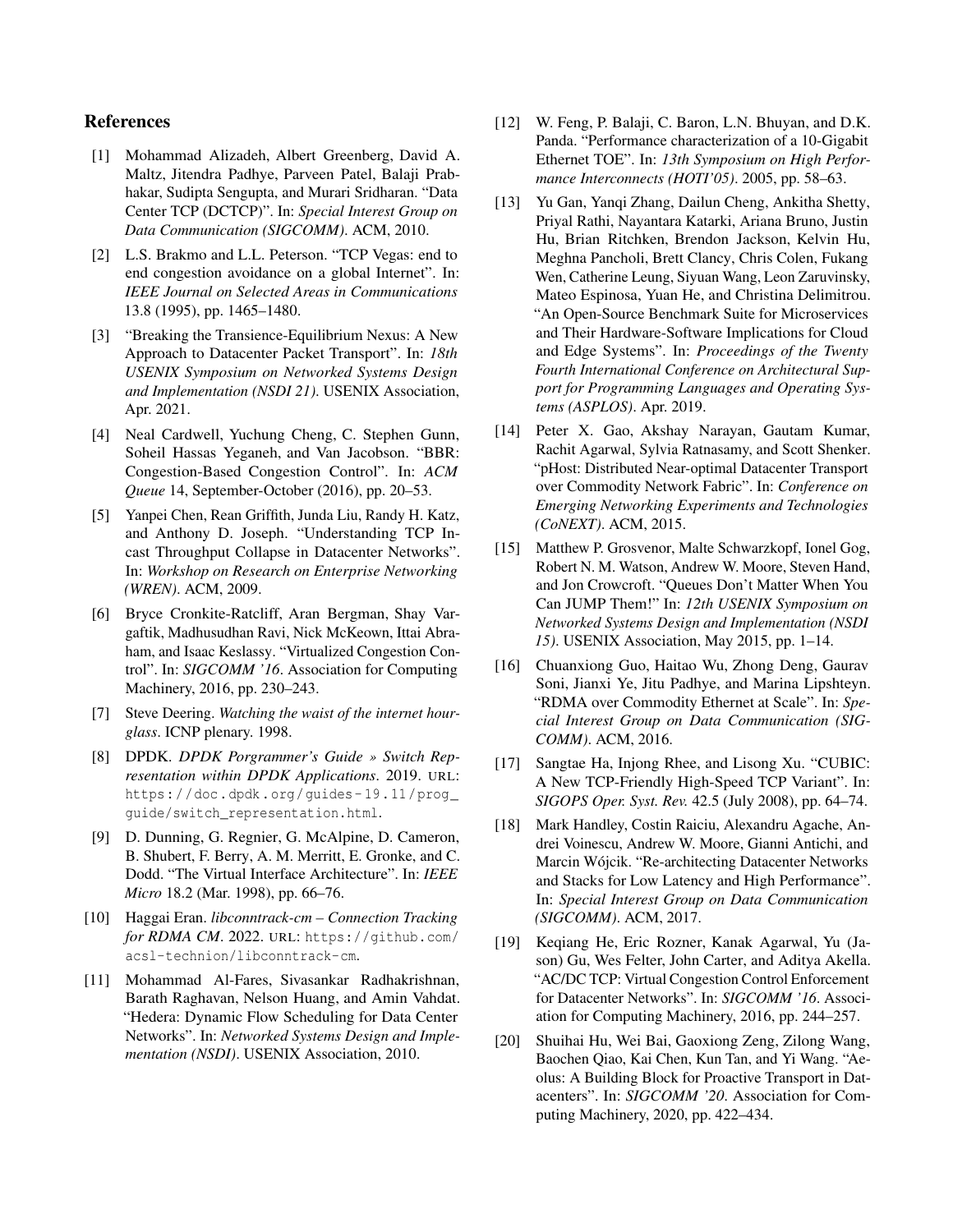# References

- <span id="page-13-4"></span>[1] Mohammad Alizadeh, Albert Greenberg, David A. Maltz, Jitendra Padhye, Parveen Patel, Balaji Prabhakar, Sudipta Sengupta, and Murari Sridharan. "Data Center TCP (DCTCP)". In: *Special Interest Group on Data Communication (SIGCOMM)*. ACM, 2010.
- <span id="page-13-13"></span>[2] L.S. Brakmo and L.L. Peterson. "TCP Vegas: end to end congestion avoidance on a global Internet". In: *IEEE Journal on Selected Areas in Communications* 13.8 (1995), pp. 1465–1480.
- <span id="page-13-16"></span>[3] "Breaking the Transience-Equilibrium Nexus: A New Approach to Datacenter Packet Transport". In: *18th USENIX Symposium on Networked Systems Design and Implementation (NSDI 21)*. USENIX Association, Apr. 2021.
- <span id="page-13-12"></span>[4] Neal Cardwell, Yuchung Cheng, C. Stephen Gunn, Soheil Hassas Yeganeh, and Van Jacobson. "BBR: Congestion-Based Congestion Control". In: *ACM Queue* 14, September-October (2016), pp. 20–53.
- <span id="page-13-6"></span>[5] Yanpei Chen, Rean Griffith, Junda Liu, Randy H. Katz, and Anthony D. Joseph. "Understanding TCP Incast Throughput Collapse in Datacenter Networks". In: *Workshop on Research on Enterprise Networking (WREN)*. ACM, 2009.
- <span id="page-13-14"></span>[6] Bryce Cronkite-Ratcliff, Aran Bergman, Shay Vargaftik, Madhusudhan Ravi, Nick McKeown, Ittai Abraham, and Isaac Keslassy. "Virtualized Congestion Control". In: *SIGCOMM '16*. Association for Computing Machinery, 2016, pp. 230–243.
- <span id="page-13-3"></span>[7] Steve Deering. *Watching the waist of the internet hourglass*. ICNP plenary. 1998.
- <span id="page-13-7"></span>[8] DPDK. *DPDK Porgrammer's Guide » Switch Representation within DPDK Applications*. 2019. URL: [https://doc.dpdk.org/guides- 19.11/prog\\_](https://doc.dpdk.org/guides-19.11/prog_guide/switch_representation.html) [guide/switch\\_representation.html](https://doc.dpdk.org/guides-19.11/prog_guide/switch_representation.html).
- <span id="page-13-18"></span>[9] D. Dunning, G. Regnier, G. McAlpine, D. Cameron, B. Shubert, F. Berry, A. M. Merritt, E. Gronke, and C. Dodd. "The Virtual Interface Architecture". In: *IEEE Micro* 18.2 (Mar. 1998), pp. 66–76.
- <span id="page-13-8"></span>[10] Haggai Eran. *libconntrack-cm – Connection Tracking for RDMA CM*. 2022. URL: [https://github.com/](https://github.com/acsl-technion/libconntrack-cm) [acsl-technion/libconntrack-cm](https://github.com/acsl-technion/libconntrack-cm).
- <span id="page-13-9"></span>[11] Mohammad Al-Fares, Sivasankar Radhakrishnan, Barath Raghavan, Nelson Huang, and Amin Vahdat. "Hedera: Dynamic Flow Scheduling for Data Center Networks". In: *Networked Systems Design and Implementation (NSDI)*. USENIX Association, 2010.
- <span id="page-13-19"></span>[12] W. Feng, P. Balaji, C. Baron, L.N. Bhuyan, and D.K. Panda. "Performance characterization of a 10-Gigabit Ethernet TOE". In: *13th Symposium on High Performance Interconnects (HOTI'05)*. 2005, pp. 58–63.
- <span id="page-13-10"></span>[13] Yu Gan, Yanqi Zhang, Dailun Cheng, Ankitha Shetty, Priyal Rathi, Nayantara Katarki, Ariana Bruno, Justin Hu, Brian Ritchken, Brendon Jackson, Kelvin Hu, Meghna Pancholi, Brett Clancy, Chris Colen, Fukang Wen, Catherine Leung, Siyuan Wang, Leon Zaruvinsky, Mateo Espinosa, Yuan He, and Christina Delimitrou. "An Open-Source Benchmark Suite for Microservices and Their Hardware-Software Implications for Cloud and Edge Systems". In: *Proceedings of the Twenty Fourth International Conference on Architectural Support for Programming Languages and Operating Systems (ASPLOS)*. Apr. 2019.
- <span id="page-13-0"></span>[14] Peter X. Gao, Akshay Narayan, Gautam Kumar, Rachit Agarwal, Sylvia Ratnasamy, and Scott Shenker. "pHost: Distributed Near-optimal Datacenter Transport over Commodity Network Fabric". In: *Conference on Emerging Networking Experiments and Technologies (CoNEXT)*. ACM, 2015.
- <span id="page-13-17"></span>[15] Matthew P. Grosvenor, Malte Schwarzkopf, Ionel Gog, Robert N. M. Watson, Andrew W. Moore, Steven Hand, and Jon Crowcroft. "Queues Don't Matter When You Can JUMP Them!" In: *12th USENIX Symposium on Networked Systems Design and Implementation (NSDI 15)*. USENIX Association, May 2015, pp. 1–14.
- <span id="page-13-5"></span>[16] Chuanxiong Guo, Haitao Wu, Zhong Deng, Gaurav Soni, Jianxi Ye, Jitu Padhye, and Marina Lipshteyn. "RDMA over Commodity Ethernet at Scale". In: *Special Interest Group on Data Communication (SIG-COMM)*. ACM, 2016.
- <span id="page-13-11"></span>[17] Sangtae Ha, Injong Rhee, and Lisong Xu. "CUBIC: A New TCP-Friendly High-Speed TCP Variant". In: *SIGOPS Oper. Syst. Rev.* 42.5 (July 2008), pp. 64–74.
- <span id="page-13-1"></span>[18] Mark Handley, Costin Raiciu, Alexandru Agache, Andrei Voinescu, Andrew W. Moore, Gianni Antichi, and Marcin Wójcik. "Re-architecting Datacenter Networks and Stacks for Low Latency and High Performance". In: *Special Interest Group on Data Communication (SIGCOMM)*. ACM, 2017.
- <span id="page-13-15"></span>[19] Keqiang He, Eric Rozner, Kanak Agarwal, Yu (Jason) Gu, Wes Felter, John Carter, and Aditya Akella. "AC/DC TCP: Virtual Congestion Control Enforcement for Datacenter Networks". In: *SIGCOMM '16*. Association for Computing Machinery, 2016, pp. 244–257.
- <span id="page-13-2"></span>[20] Shuihai Hu, Wei Bai, Gaoxiong Zeng, Zilong Wang, Baochen Qiao, Kai Chen, Kun Tan, and Yi Wang. "Aeolus: A Building Block for Proactive Transport in Datacenters". In: *SIGCOMM '20*. Association for Computing Machinery, 2020, pp. 422–434.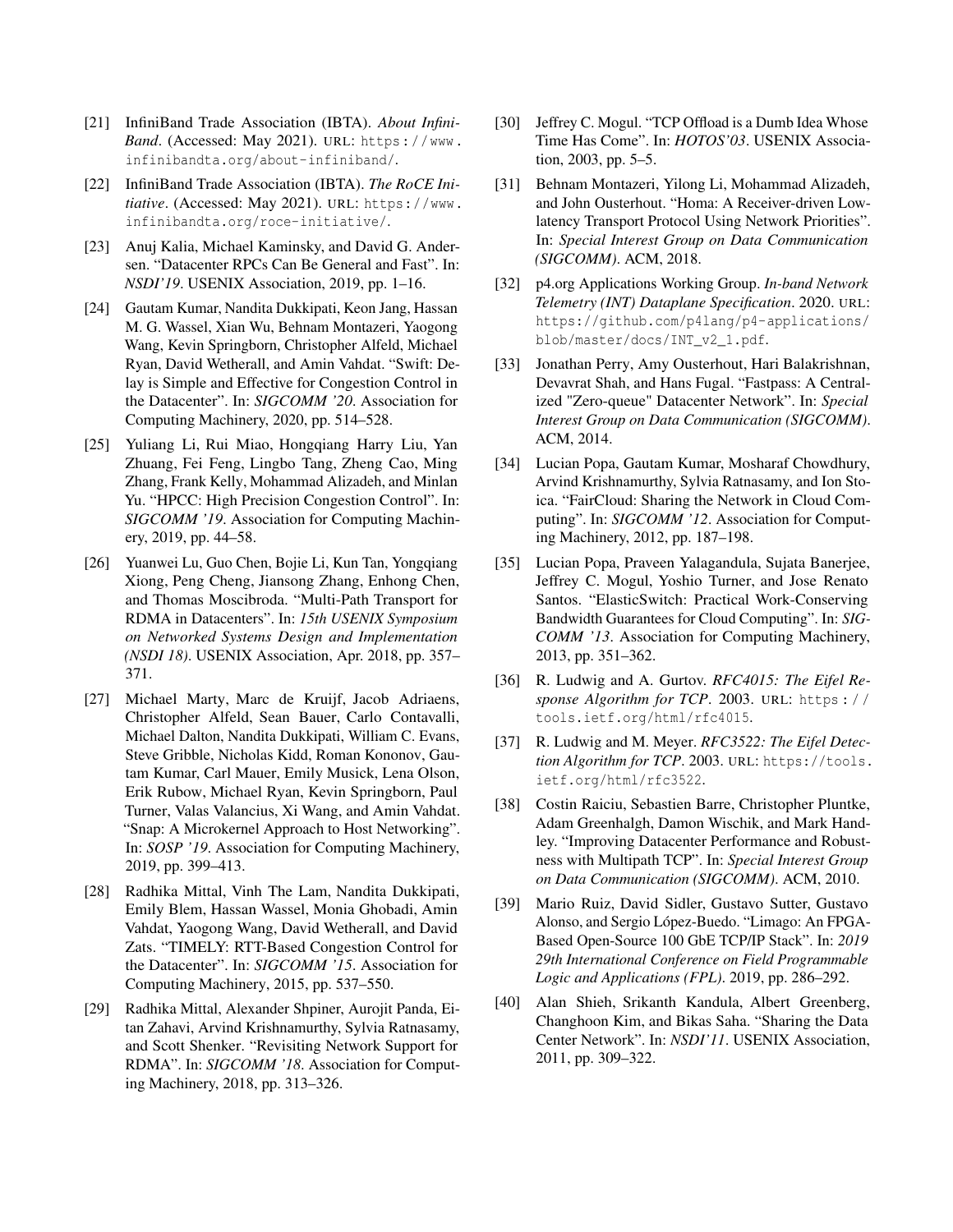- <span id="page-14-16"></span>[21] InfiniBand Trade Association (IBTA). *About Infini-Band*. (Accessed: May 2021). URL: [https://www.](https://www.infinibandta.org/about-infiniband/) [infinibandta.org/about-infiniband/](https://www.infinibandta.org/about-infiniband/).
- <span id="page-14-17"></span>[22] InfiniBand Trade Association (IBTA). *The RoCE Initiative*. (Accessed: May 2021). URL: [https://www.](https://www.infinibandta.org/roce-initiative/) [infinibandta.org/roce-initiative/](https://www.infinibandta.org/roce-initiative/).
- <span id="page-14-15"></span>[23] Anuj Kalia, Michael Kaminsky, and David G. Andersen. "Datacenter RPCs Can Be General and Fast". In: *NSDI'19*. USENIX Association, 2019, pp. 1–16.
- <span id="page-14-8"></span>[24] Gautam Kumar, Nandita Dukkipati, Keon Jang, Hassan M. G. Wassel, Xian Wu, Behnam Montazeri, Yaogong Wang, Kevin Springborn, Christopher Alfeld, Michael Ryan, David Wetherall, and Amin Vahdat. "Swift: Delay is Simple and Effective for Congestion Control in the Datacenter". In: *SIGCOMM '20*. Association for Computing Machinery, 2020, pp. 514–528.
- <span id="page-14-13"></span>[25] Yuliang Li, Rui Miao, Hongqiang Harry Liu, Yan Zhuang, Fei Feng, Lingbo Tang, Zheng Cao, Ming Zhang, Frank Kelly, Mohammad Alizadeh, and Minlan Yu. "HPCC: High Precision Congestion Control". In: *SIGCOMM '19*. Association for Computing Machinery, 2019, pp. 44–58.
- <span id="page-14-4"></span>[26] Yuanwei Lu, Guo Chen, Bojie Li, Kun Tan, Yongqiang Xiong, Peng Cheng, Jiansong Zhang, Enhong Chen, and Thomas Moscibroda. "Multi-Path Transport for RDMA in Datacenters". In: *15th USENIX Symposium on Networked Systems Design and Implementation (NSDI 18)*. USENIX Association, Apr. 2018, pp. 357– 371.
- <span id="page-14-14"></span>[27] Michael Marty, Marc de Kruijf, Jacob Adriaens, Christopher Alfeld, Sean Bauer, Carlo Contavalli, Michael Dalton, Nandita Dukkipati, William C. Evans, Steve Gribble, Nicholas Kidd, Roman Kononov, Gautam Kumar, Carl Mauer, Emily Musick, Lena Olson, Erik Rubow, Michael Ryan, Kevin Springborn, Paul Turner, Valas Valancius, Xi Wang, and Amin Vahdat. "Snap: A Microkernel Approach to Host Networking". In: *SOSP '19*. Association for Computing Machinery, 2019, pp. 399–413.
- <span id="page-14-1"></span>[28] Radhika Mittal, Vinh The Lam, Nandita Dukkipati, Emily Blem, Hassan Wassel, Monia Ghobadi, Amin Vahdat, Yaogong Wang, David Wetherall, and David Zats. "TIMELY: RTT-Based Congestion Control for the Datacenter". In: *SIGCOMM '15*. Association for Computing Machinery, 2015, pp. 537–550.
- <span id="page-14-2"></span>[29] Radhika Mittal, Alexander Shpiner, Aurojit Panda, Eitan Zahavi, Arvind Krishnamurthy, Sylvia Ratnasamy, and Scott Shenker. "Revisiting Network Support for RDMA". In: *SIGCOMM '18*. Association for Computing Machinery, 2018, pp. 313–326.
- <span id="page-14-18"></span>[30] Jeffrey C. Mogul. "TCP Offload is a Dumb Idea Whose Time Has Come". In: *HOTOS'03*. USENIX Association, 2003, pp. 5–5.
- <span id="page-14-0"></span>[31] Behnam Montazeri, Yilong Li, Mohammad Alizadeh, and John Ousterhout. "Homa: A Receiver-driven Lowlatency Transport Protocol Using Network Priorities". In: *Special Interest Group on Data Communication (SIGCOMM)*. ACM, 2018.
- <span id="page-14-5"></span>[32] p4.org Applications Working Group. *In-band Network Telemetry (INT) Dataplane Specification*. 2020. URL: [https://github.com/p4lang/p4-applications/](https://github.com/p4lang/p4-applications/blob/master/docs/INT_v2_1.pdf) [blob/master/docs/INT\\_v2\\_1.pdf](https://github.com/p4lang/p4-applications/blob/master/docs/INT_v2_1.pdf).
- <span id="page-14-12"></span>[33] Jonathan Perry, Amy Ousterhout, Hari Balakrishnan, Devavrat Shah, and Hans Fugal. "Fastpass: A Centralized "Zero-queue" Datacenter Network". In: *Special Interest Group on Data Communication (SIGCOMM)*. ACM, 2014.
- <span id="page-14-10"></span>[34] Lucian Popa, Gautam Kumar, Mosharaf Chowdhury, Arvind Krishnamurthy, Sylvia Ratnasamy, and Ion Stoica. "FairCloud: Sharing the Network in Cloud Computing". In: *SIGCOMM '12*. Association for Computing Machinery, 2012, pp. 187–198.
- <span id="page-14-11"></span>[35] Lucian Popa, Praveen Yalagandula, Sujata Banerjee, Jeffrey C. Mogul, Yoshio Turner, and Jose Renato Santos. "ElasticSwitch: Practical Work-Conserving Bandwidth Guarantees for Cloud Computing". In: *SIG-COMM '13*. Association for Computing Machinery, 2013, pp. 351–362.
- <span id="page-14-7"></span>[36] R. Ludwig and A. Gurtov. *RFC4015: The Eifel Response Algorithm for TCP*. 2003. URL: [https : / /](https://tools.ietf.org/html/rfc4015) [tools.ietf.org/html/rfc4015](https://tools.ietf.org/html/rfc4015).
- <span id="page-14-6"></span>[37] R. Ludwig and M. Meyer. *RFC3522: The Eifel Detection Algorithm for TCP*. 2003. URL: [https://tools.](https://tools.ietf.org/html/rfc3522) [ietf.org/html/rfc3522](https://tools.ietf.org/html/rfc3522).
- <span id="page-14-3"></span>[38] Costin Raiciu, Sebastien Barre, Christopher Pluntke, Adam Greenhalgh, Damon Wischik, and Mark Handley. "Improving Datacenter Performance and Robustness with Multipath TCP". In: *Special Interest Group on Data Communication (SIGCOMM)*. ACM, 2010.
- <span id="page-14-19"></span>[39] Mario Ruiz, David Sidler, Gustavo Sutter, Gustavo Alonso, and Sergio López-Buedo. "Limago: An FPGA-Based Open-Source 100 GbE TCP/IP Stack". In: *2019 29th International Conference on Field Programmable Logic and Applications (FPL)*. 2019, pp. 286–292.
- <span id="page-14-9"></span>[40] Alan Shieh, Srikanth Kandula, Albert Greenberg, Changhoon Kim, and Bikas Saha. "Sharing the Data Center Network". In: *NSDI'11*. USENIX Association, 2011, pp. 309–322.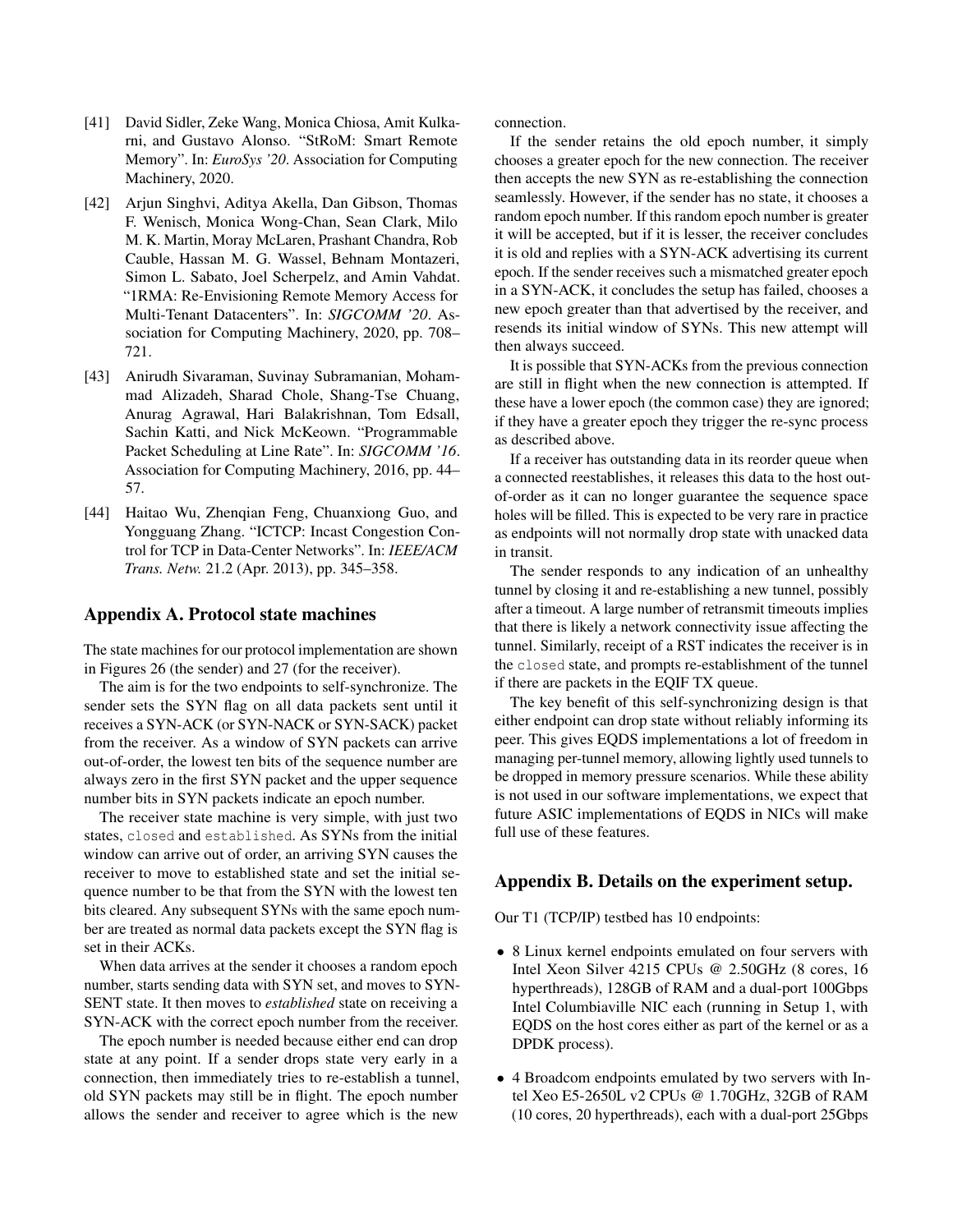- <span id="page-15-3"></span>[41] David Sidler, Zeke Wang, Monica Chiosa, Amit Kulkarni, and Gustavo Alonso. "StRoM: Smart Remote Memory". In: *EuroSys '20*. Association for Computing Machinery, 2020.
- <span id="page-15-0"></span>[42] Arjun Singhvi, Aditya Akella, Dan Gibson, Thomas F. Wenisch, Monica Wong-Chan, Sean Clark, Milo M. K. Martin, Moray McLaren, Prashant Chandra, Rob Cauble, Hassan M. G. Wassel, Behnam Montazeri, Simon L. Sabato, Joel Scherpelz, and Amin Vahdat. "1RMA: Re-Envisioning Remote Memory Access for Multi-Tenant Datacenters". In: *SIGCOMM '20*. Association for Computing Machinery, 2020, pp. 708– 721.
- <span id="page-15-2"></span>[43] Anirudh Sivaraman, Suvinay Subramanian, Mohammad Alizadeh, Sharad Chole, Shang-Tse Chuang, Anurag Agrawal, Hari Balakrishnan, Tom Edsall, Sachin Katti, and Nick McKeown. "Programmable Packet Scheduling at Line Rate". In: *SIGCOMM '16*. Association for Computing Machinery, 2016, pp. 44– 57.
- <span id="page-15-1"></span>[44] Haitao Wu, Zhenqian Feng, Chuanxiong Guo, and Yongguang Zhang. "ICTCP: Incast Congestion Control for TCP in Data-Center Networks". In: *IEEE/ACM Trans. Netw.* 21.2 (Apr. 2013), pp. 345–358.

### Appendix A. Protocol state machines

The state machines for our protocol implementation are shown in Figures [26](#page-16-0) (the sender) and [27](#page-16-0) (for the receiver).

The aim is for the two endpoints to self-synchronize. The sender sets the SYN flag on all data packets sent until it receives a SYN-ACK (or SYN-NACK or SYN-SACK) packet from the receiver. As a window of SYN packets can arrive out-of-order, the lowest ten bits of the sequence number are always zero in the first SYN packet and the upper sequence number bits in SYN packets indicate an epoch number.

The receiver state machine is very simple, with just two states, closed and established. As SYNs from the initial window can arrive out of order, an arriving SYN causes the receiver to move to established state and set the initial sequence number to be that from the SYN with the lowest ten bits cleared. Any subsequent SYNs with the same epoch number are treated as normal data packets except the SYN flag is set in their ACKs.

When data arrives at the sender it chooses a random epoch number, starts sending data with SYN set, and moves to SYN-SENT state. It then moves to *established* state on receiving a SYN-ACK with the correct epoch number from the receiver.

The epoch number is needed because either end can drop state at any point. If a sender drops state very early in a connection, then immediately tries to re-establish a tunnel, old SYN packets may still be in flight. The epoch number allows the sender and receiver to agree which is the new

connection.

If the sender retains the old epoch number, it simply chooses a greater epoch for the new connection. The receiver then accepts the new SYN as re-establishing the connection seamlessly. However, if the sender has no state, it chooses a random epoch number. If this random epoch number is greater it will be accepted, but if it is lesser, the receiver concludes it is old and replies with a SYN-ACK advertising its current epoch. If the sender receives such a mismatched greater epoch in a SYN-ACK, it concludes the setup has failed, chooses a new epoch greater than that advertised by the receiver, and resends its initial window of SYNs. This new attempt will then always succeed.

It is possible that SYN-ACKs from the previous connection are still in flight when the new connection is attempted. If these have a lower epoch (the common case) they are ignored; if they have a greater epoch they trigger the re-sync process as described above.

If a receiver has outstanding data in its reorder queue when a connected reestablishes, it releases this data to the host outof-order as it can no longer guarantee the sequence space holes will be filled. This is expected to be very rare in practice as endpoints will not normally drop state with unacked data in transit.

The sender responds to any indication of an unhealthy tunnel by closing it and re-establishing a new tunnel, possibly after a timeout. A large number of retransmit timeouts implies that there is likely a network connectivity issue affecting the tunnel. Similarly, receipt of a RST indicates the receiver is in the closed state, and prompts re-establishment of the tunnel if there are packets in the EQIF TX queue.

The key benefit of this self-synchronizing design is that either endpoint can drop state without reliably informing its peer. This gives EQDS implementations a lot of freedom in managing per-tunnel memory, allowing lightly used tunnels to be dropped in memory pressure scenarios. While these ability is not used in our software implementations, we expect that future ASIC implementations of EQDS in NICs will make full use of these features.

## Appendix B. Details on the experiment setup.

Our T1 (TCP/IP) testbed has 10 endpoints:

- 8 Linux kernel endpoints emulated on four servers with Intel Xeon Silver 4215 CPUs @ 2.50GHz (8 cores, 16 hyperthreads), 128GB of RAM and a dual-port 100Gbps Intel Columbiaville NIC each (running in Setup 1, with EQDS on the host cores either as part of the kernel or as a DPDK process).
- 4 Broadcom endpoints emulated by two servers with Intel Xeo E5-2650L v2 CPUs @ 1.70GHz, 32GB of RAM (10 cores, 20 hyperthreads), each with a dual-port 25Gbps